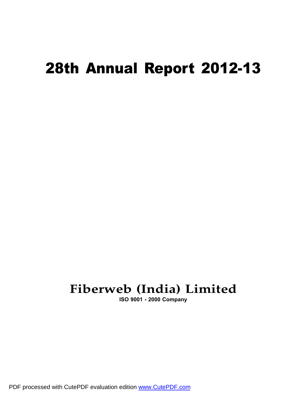# 28th Annual Report 2012-13

# **Fiberweb (India) Limited**

**ISO 9001 - 2000 Company**

PDF processed with CutePDF evaluation edition [www.CutePDF.com](http://www.cutepdf.com)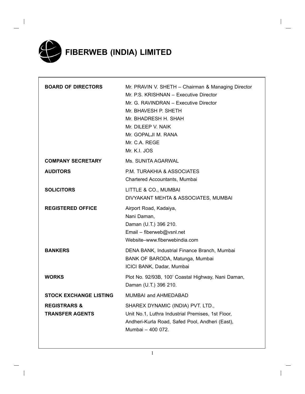

 $\overline{\phantom{a}}$ 

| <b>BOARD OF DIRECTORS</b>                         | Mr. PRAVIN V. SHETH - Chairman & Managing Director<br>Mr. P.S. KRISHNAN - Executive Director<br>Mr. G. RAVINDRAN - Executive Director<br>Mr. BHAVESH P. SHETH<br>Mr. BHADRESH H. SHAH<br>Mr. DILEEP V. NAIK<br>Mr. GOPALJI M. RANA<br>Mr. C.A. REGE<br>Mr. K.I. JOS |
|---------------------------------------------------|---------------------------------------------------------------------------------------------------------------------------------------------------------------------------------------------------------------------------------------------------------------------|
| <b>COMPANY SECRETARY</b>                          | Ms. SUNITA AGARWAL                                                                                                                                                                                                                                                  |
| <b>AUDITORS</b>                                   | P.M. TURAKHIA & ASSOCIATES<br>Chartered Accountants, Mumbai                                                                                                                                                                                                         |
| <b>SOLICITORS</b>                                 | LITTLE & CO., MUMBAI<br>DIVYAKANT MEHTA & ASSOCIATES, MUMBAI                                                                                                                                                                                                        |
| <b>REGISTERED OFFICE</b>                          | Airport Road, Kadaiya,<br>Nani Daman,<br>Daman (U.T.) 396 210.<br>Email - fiberweb@vsnl.net<br>Website-www.fiberwebindia.com                                                                                                                                        |
| <b>BANKERS</b>                                    | DENA BANK, Industrial Finance Branch, Mumbai<br>BANK OF BARODA, Matunga, Mumbai<br>ICICI BANK, Dadar, Mumbai                                                                                                                                                        |
| <b>WORKS</b>                                      | Plot No. 92/93B, 100' Coastal Highway, Nani Daman,<br>Daman (U.T.) 396 210.                                                                                                                                                                                         |
| <b>STOCK EXCHANGE LISTING</b>                     | <b>MUMBAI and AHMEDABAD</b>                                                                                                                                                                                                                                         |
| <b>REGISTRARS &amp;</b><br><b>TRANSFER AGENTS</b> | SHAREX DYNAMIC (INDIA) PVT. LTD.,<br>Unit No.1, Luthra Industrial Premises, 1st Floor,<br>Andheri-Kurla Road, Safed Pool, Andheri (East),<br>Mumbai - 400 072.                                                                                                      |

1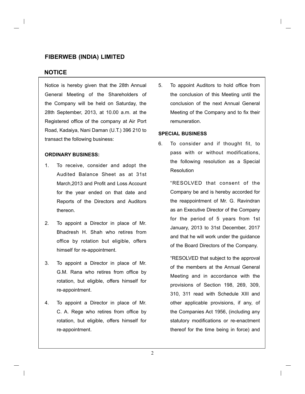#### **Notice**

Notice is hereby given that the 28th Annual General Meeting of the Shareholders of the Company will be held on Saturday, the 28th September, 2013, at 10.00 a.m. at the Registered office of the company at Air Port Road, Kadaiya, Nani Daman (U.T.) 396 210 to transact the following business:

### **ORDINARY BUSINESS:**

- 1. To receive, consider and adopt the Audited Balance Sheet as at 31st March,2013 and Profit and Loss Account for the year ended on that date and Reports of the Directors and Auditors thereon.
- 2. To appoint a Director in place of Mr. Bhadresh H. Shah who retires from office by rotation but eligible, offers himself for re-appointment.
- 3. To appoint a Director in place of Mr. G.M. Rana who retires from office by rotation, but eligible, offers himself for re-appointment.
- 4. To appoint a Director in place of Mr. C. A. Rege who retires from office by rotation, but eligible, offers himself for re-appointment.

5. To appoint Auditors to hold office from the conclusion of this Meeting until the conclusion of the next Annual General Meeting of the Company and to fix their remuneration.

#### **SPECIAL BUSINESS**

6. To consider and if thought fit, to pass with or without modifications, the following resolution as a Special Resolution

> "RESOLVED that consent of the Company be and is hereby accorded for the reappointment of Mr. G. Ravindran as an Executive Director of the Company for the period of 5 years from 1st January, 2013 to 31st December, 2017 and that he will work under the guidance of the Board Directors of the Company.

> "RESOLVED that subject to the approval of the members at the Annual General Meeting and in accordance with the provisions of Section 198, 269, 309, 310, 311 read with Schedule XIII and other applicable provisions, if any, of the Companies Act 1956, (including any statutory modifications or re-enactment thereof for the time being in force) and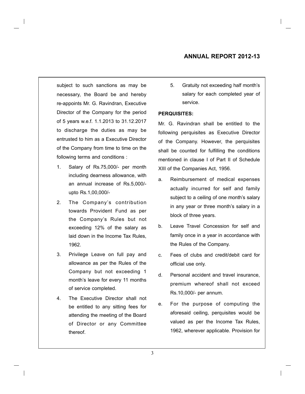subject to such sanctions as may be necessary, the Board be and hereby re-appoints Mr. G. Ravindran, Executive Director of the Company for the period of 5 years w.e.f. 1.1.2013 to 31.12.2017 to discharge the duties as may be entrusted to him as a Executive Director of the Company from time to time on the following terms and conditions :

- 1. Salary of Rs.75,000/- per month including dearness allowance, with an annual increase of Rs.5,000/ upto Rs.1,00,000/-
- 2. The Company's contribution towards Provident Fund as per the Company's Rules but not exceeding 12% of the salary as laid down in the Income Tax Rules, 1962.
- 3. Privilege Leave on full pay and allowance as per the Rules of the Company but not exceeding 1 month's leave for every 11 months of service completed.
- 4. The Executive Director shall not be entitled to any sitting fees for attending the meeting of the Board of Director or any Committee thereof.

5. Gratuity not exceeding half month's salary for each completed year of service.

#### **PERQUISITES:**

Mr. G. Ravindran shall be entitled to the following perquisites as Executive Director of the Company. However, the perquisites shall be counted for fulfilling the conditions mentioned in clause I of Part II of Schedule XIII of the Companies Act, 1956.

- a. Reimbursement of medical expenses actually incurred for self and family subject to a ceiling of one month's salary in any year or three month's salary in a block of three years.
- b. Leave Travel Concession for self and family once in a year in accordance with the Rules of the Company.
- c. Fees of clubs and credit/debit card for official use only.
- d. Personal accident and travel insurance, premium whereof shall not exceed Rs.10,000/- per annum.
- e. For the purpose of computing the aforesaid ceiling, perquisites would be valued as per the Income Tax Rules, 1962, wherever applicable. Provision for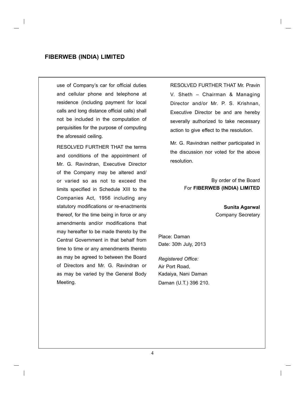use of Company's car for official duties and cellular phone and telephone at residence (including payment for local calls and long distance official calls) shall not be included in the computation of perquisities for the purpose of computing the aforesaid ceiling.

RESOLVED FURTHER THAT the terms and conditions of the appointment of Mr. G. Ravindran, Executive Director of the Company may be altered and/ or varied so as not to exceed the limits specified in Schedule XIII to the Companies Act, 1956 including any statutory modifications or re-enactments thereof, for the time being in force or any amendments and/or modifications that may hereafter to be made thereto by the Central Government in that behalf from time to time or any amendments thereto as may be agreed to between the Board of Directors and Mr. G. Ravindran or as may be varied by the General Body Meeting.

RESOLVED FURTHER THAT Mr. Pravin V. Sheth – Chairman & Managing Director and/or Mr. P. S. Krishnan, Executive Director be and are hereby severally authorized to take necessary action to give effect to the resolution.

Mr. G. Ravindran neither participated in the discussion nor voted for the above resolution.

> By order of the Board For **FIBERWEB (INDIA) LIMITED**

> > **Sunita Agarwal** Company Secretary

Place: Daman Date: 30th July, 2013

*Registered Office:* Air Port Road, Kadaiya, Nani Daman Daman (U.T.) 396 210.

4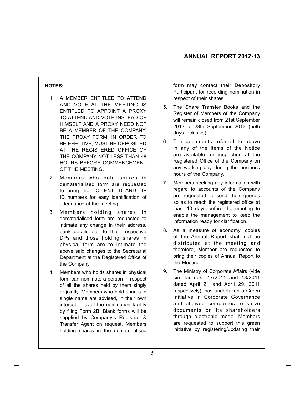### **Annual Report 2012-13**

# **NOTES:**

- 1. A MEMBER ENTITLED TO ATTEND AND VOTE AT THE MEETING IS ENTITLED TO APPOINT A PROXY TO ATTEND AND VOTE INSTEAD OF HIMSELF AND A PROXY NEED NOT BE A MEMBER OF THE COMPANY. THE PROXY FORM, IN ORDER TO BE EFFCTIVE, MUST BE DEPOSITED AT THE REGISTERED OFFICE OF THE COMPANY NOT LESS THAN 48 HOURS BEFORE COMMENCEMENT OF THE MEETING.
- 2. Members who hold shares in dematerialised form are requested to bring their CLIENT ID AND DP ID numbers for easy identification of attendance at the meeting.
- 3. Members holding shares in dematerialised form are requested to intimate any change in their address, bank details etc. to their respective DPs and those holding shares in physical form are to intimate the above said changes to the Secretarial Department at the Registered Office of the Company.
- 4. Members who holds shares in physical form can nominate a person in respect of all the shares held by them singly or jointly. Members who hold shares in single name are advised, in their own interest to avail the nomination facility by filing Form 2B. Blank forms will be supplied by Company's Registrar & Transfer Agent on request. Members holding shares in the dematerialised

form may contact their Depository Participant for recording nomination in respect of their shares.

- 5. The Share Transfer Books and the Register of Members of the Company will remain closed from 21st September 2013 to 28th September 2013 (both days inclusive).
- 6. The documents referred to above in any of the items of the Notice are available for inspection at the Registered Office of the Company on any working day during the business hours of the Company.
- 7. Members seeking any information with regard to accounts of the Company are requested to send their queries so as to reach the registered office at least 10 days before the meeting to enable the management to keep the information ready for clarification.
- 8. As a measure of economy, copies of the Annual Report shall not be distributed at the meeting and therefore, Member are requested to bring their copies of Annual Report to the Meeting.
- 9. The Ministry of Corporate Affairs (vide circular nos. 17/2011 and 18/2011 dated April 21 and April 29, 2011 respectively), has undertaken a Green Initiative in Corporate Governance and allowed companies to serve documents on its shareholders through electronic mode. Members are requested to support this green initiative by registering/updating their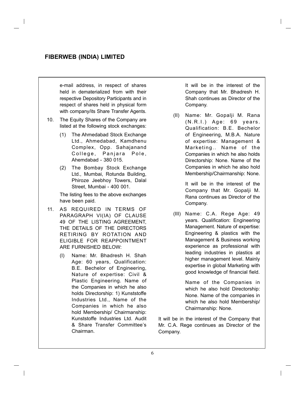e-mail address, in respect of shares held in dematerialized from with their respective Depository Participants and in respect of shares held in physical form with company/its Share Transfer Agents.

- 10. The Equity Shares of the Company are listed at the following stock exchanges:
	- (1) The Ahmedabad Stock Exchange Ltd., Ahmedabad, Kamdhenu Complex, Opp. Sahajanand College, Panjara Pole, Ahemdabad - 380 015.
	- (2) The Bombay Stock Exchange Ltd., Mumbai, Rotunda Building, Phiroze Jeebhoy Towers, Dalal Street, Mumbai - 400 001.

 The listing fees to the above exchanges have been paid.

- 11. AS REQUIRED IN TERMS OF PARAGRAPH VI(IA) OF CLAUSE 49 OF THE LISTING AGREEMENT, THE DETAILS OF THE DIRECTORS RETIRING BY ROTATION AND ELIGIBLE FOR REAPPOINTMENT ARE FURNISHED BELOW:
	- (I) Name: Mr. Bhadresh H. Shah Age: 60 years, Qualification: B.E. Bechelor of Engineering, Nature of expertise: Civil & Plastic Engineering. Name of the Companies in which he also holds Directorship: 1) Kunststoffe Industries Ltd., Name of the Companies in which he also hold Membership/ Chairmanship: Kunststoffe Industries Ltd. Audit & Share Transfer Committee's Chairman.

 It will be in the interest of the Company that Mr. Bhadresh H. Shah continues as Director of the Company.

 (II) Name: Mr. Gopalji M. Rana (N.R.I.) Age: 69 years. Qualification: B.E. Bechelor of Engineering, M.B.A. Nature of expertise: Management & Marketing.. Name of the Companies in which he also holds Directorship: None. Name of the Companies in which he also hold Membership/Chairmanship: None.

> It will be in the interest of the Company that Mr. Gopalji M. Rana continues as Director of the Company.

 (III) Name: C.A. Rege Age: 49 years. Qualification: Engineering Management. Nature of expertise: Engineering & plastics with the Management & Business working experience as professional with leading industries in plastics at higher management level. Mainly expertise in global Marketing with good knowledge of financial field.

> Name of the Companies in which he also hold Directorship: None. Name of the companies in which he also hold Membership/ Chairmanship: None.

It will be in the interest of the Company that Mr. C.A. Rege continues as Director of the Company.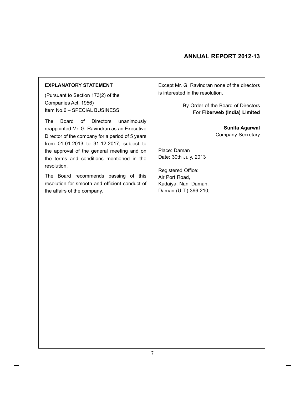# **Annual Report 2012-13**

### **EXPLANATORY STATEMENT**

(Pursuant to Section 173(2) of the Companies Act, 1956) Item No.6 – SPECIAL BUSINESS

The Board of Directors unanimously reappointed Mr. G. Ravindran as an Executive Director of the company for a period of 5 years from 01-01-2013 to 31-12-2017, subject to the approval of the general meeting and on the terms and conditions mentioned in the resolution.

The Board recommends passing of this resolution for smooth and efficient conduct of the affairs of the company.

Except Mr. G. Ravindran none of the directors is interested in the resolution.

> By Order of the Board of Directors For **Fiberweb (India) Limited**

> > **Sunita Agarwal** Company Secretary

Place: Daman Date: 30th July, 2013

Registered Office: Air Port Road, Kadaiya, Nani Daman, Daman (U.T.) 396 210,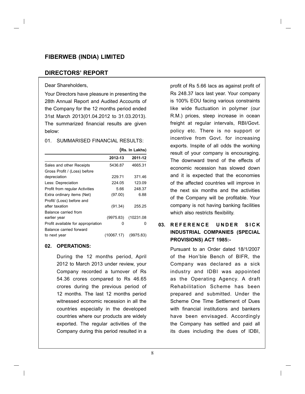#### **DIRECTORS' REPORT**

#### Dear Shareholders,

Your Directors have pleasure in presenting the 28th Annual Report and Audited Accounts of the Company for the 12 months period ended 31st March 2013(01.04.2012 to 31.03.2013). The summarized financial results are given below:

#### 01. SUMMARISED FINANCIAL RESULTS:

**(Rs. In Lakhs)**

|                                    | 2012-13    | 2011-12   |
|------------------------------------|------------|-----------|
| Sales and other Receipts           | 5436.87    | 4665.31   |
| Gross Profit / (Loss) before       |            |           |
| depreciation                       | 229.71     | 371.46    |
| Less: Depreciation                 | 224.05     | 123.09    |
| Profit from regular Activities     | 5.66       | 248.37    |
| Extra ordinary items (Net)         | (97.00)    | 6.88      |
| Profit/ (Loss) before and          |            |           |
| after taxation                     | (91.34)    | 255.25    |
| Balance carried from               |            |           |
| earlier year                       | (9975.83)  | (10231.08 |
| Profit available for appropriation | Ω          | O         |
| Balance carried forward            |            |           |
| to next year                       | (10067.17) | (9975.83) |

#### **02. OPERATIONS:**

During the 12 months period, April 2012 to March 2013 under review, your Company recorded a turnover of Rs 54.36 crores compared to Rs 46.65 crores during the previous period of 12 months. The last 12 months period witnessed economic recession in all the countries especially in the developed countries where our products are widely exported. The regular activities of the Company during this period resulted in a profit of Rs 5.66 lacs as against profit of Rs 248.37 lacs last year. Your company is 100% EOU facing various constraints like wide fluctuation in polymer (our R.M.) prices, steep increase in ocean freight at regular intervals, RBI/Govt. policy etc. There is no support or incentive from Govt. for increasing exports. Inspite of all odds the working result of your company is encouraging. The downward trend of the effects of economic recession has slowed down and it is expected that the economies of the affected countries will improve in the next six months and the activities of the Company will be profitable. Your company is not having banking facilities which also restricts flexibility.

# **03. R E F E R EN C E UNDE R S I C K INDUSTRIAL COMPANIES (SPECIAL PROVISIONS) ACT 1985:-**

Pursuant to an Order dated 18/1/2007 of the Hon'ble Bench of BIFR, the Company was declared as a sick industry and IDBI was appointed as the Operating Agency. A draft Rehabilitation Scheme has been prepared and submitted. Under the Scheme One Time Settlement of Dues with financial institutions and bankers have been envisaged. Accordingly the Company has settled and paid all its dues including the dues of IDBI,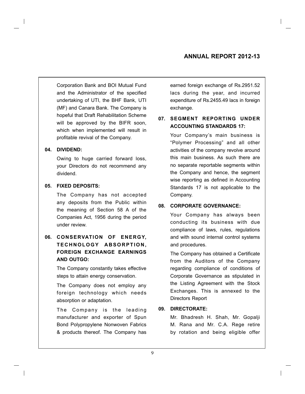Corporation Bank and BOI Mutual Fund and the Administrator of the specified undertaking of UTI, the BHF Bank, UTI (MF) and Canara Bank. The Company is hopeful that Draft Rehabilitation Scheme will be approved by the BIFR soon, which when implemented will result in profitable revival of the Company.

#### **04. DIVIDEND:**

 Owing to huge carried forward loss, your Directors do not recommend any dividend.

#### **05. FIXED DEPOSITS:**

The Company has not accepted any deposits from the Public within the meaning of Section 58 A of the Companies Act, 1956 during the period under review.

# **06. CONSERVATION OF ENERGY, TE C H NOLOG Y A B SOR PTION , FOREIGN EXCHANGE EARNINGS AND OUTGO:**

 The Company constantly takes effective steps to attain energy conservation.

The Company does not employ any foreign technology which needs absorption or adaptation.

The Company is the leading manufacturer and exporter of Spun Bond Polypropylene Nonwoven Fabrics & products thereof. The Company has

earned foreign exchange of Rs.2951.52 lacs during the year, and incurred expenditure of Rs.2455.49 lacs in foreign exchange.

# **07. SEGMENT REPORTING UNDER ACCOUNTING STANDARDS 17:**

Your Company's main business is "Polymer Processing" and all other activities of the company revolve around this main business. As such there are no separate reportable segments within the Company and hence, the segment wise reporting as defined in Accounting Standards 17 is not applicable to the Company.

### **08. CORPORATE GOVERNANCE:**

 Your Company has always been conducting its business with due compliance of laws, rules, regulations and with sound internal control systems and procedures.

 The Company has obtained a Certificate from the Auditors of the Company regarding compliance of conditions of Corporate Governance as stipulated in the Listing Agreement with the Stock Exchanges. This is annexed to the Directors Report

#### **09. DIRECTORATE:**

Mr. Bhadresh H. Shah, Mr. Gopalji M. Rana and Mr. C.A. Rege retire by rotation and being eligible offer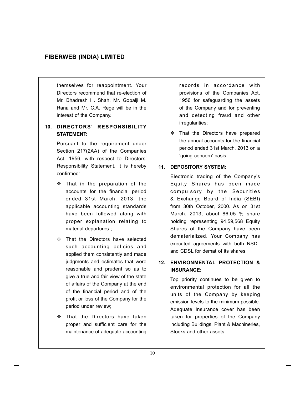themselves for reappointment. Your Directors recommend that re-election of Mr. Bhadresh H. Shah, Mr. Gopalji M. Rana and Mr. C.A. Rege will be in the interest of the Company.

# **10. DIRECTORS' RESPONSIBILITY STATEMENT:**

 Pursuant to the requirement under Section 217(2AA) of the Companies Act, 1956, with respect to Directors' Responsibility Statement, it is hereby confirmed:

- That in the preparation of the accounts for the financial period ended 31st March, 2013, the applicable accounting standards have been followed along with proper explanation relating to material departures ;
- That the Directors have selected such accounting policies and applied them consistently and made judgments and estimates that were reasonable and prudent so as to give a true and fair view of the state of affairs of the Company at the end of the financial period and of the profit or loss of the Company for the period under review;
- ❖ That the Directors have taken proper and sufficient care for the maintenance of adequate accounting

records in accordance with provisions of the Companies Act, 1956 for safeguarding the assets of the Company and for preventing and detecting fraud and other irregularities;

 $\div$  That the Directors have prepared the annual accounts for the financial period ended 31st March, 2013 on a 'going concern' basis.

### **11. DEPOSITORY SYSTEM:**

Electronic trading of the Company's Equity Shares has been made compulsory by the Securities & Exchange Board of India (SEBI) from 30th October, 2000. As on 31st March, 2013, about 86.05 % share holding representing 94,59,568 Equity Shares of the Company have been dematerialized. Your Company has executed agreements with both NSDL and CDSL for demat of its shares.

# **12. ENVIRONMENTAL PROTECTION & INSURANCE:**

Top priority continues to be given to environmental protection for all the units of the Company by keeping emission levels to the minimum possible. Adequate Insurance cover has been taken for properties of the Company including Buildings, Plant & Machineries, Stocks and other assets.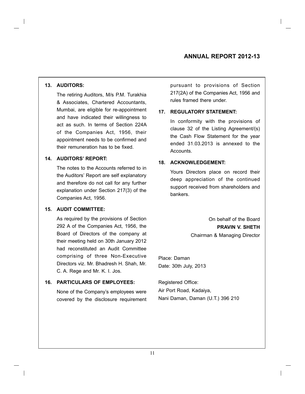#### **13. AUDITORS:**

 The retiring Auditors, M/s P.M. Turakhia & Associates, Chartered Accountants, Mumbai, are eligible for re-appointment and have indicated their willingness to act as such. In terms of Section 224A of the Companies Act, 1956, their appointment needs to be confirmed and their remuneration has to be fixed.

# **14. AUDITORS' REPORT:**

The notes to the Accounts referred to in the Auditors' Report are self explanatory and therefore do not call for any further explanation under Section 217(3) of the Companies Act, 1956.

#### **15. AUDIT COMMITTEE:**

 As required by the provisions of Section 292 A of the Companies Act, 1956, the Board of Directors of the company at their meeting held on 30th January 2012 had reconstituted an Audit Committee comprising of three Non-Executive Directors viz. Mr. Bhadresh H. Shah, Mr. C. A. Rege and Mr. K. I. Jos.

#### **16. PARTICULARS OF EMPLOYEES:**

 None of the Company's employees were covered by the disclosure requirement pursuant to provisions of Section 217(2A) of the Companies Act, 1956 and rules framed there under.

#### **17. REGULATORY STATEMENT:**

 In conformity with the provisions of clause 32 of the Listing Agreement/(s) the Cash Flow Statement for the year ended 31.03.2013 is annexed to the Accounts.

#### **18. ACKNOWLEDGEMENT:**

Yours Directors place on record their deep appreciation of the continued support received from shareholders and bankers.

> On behalf of the Board **PRAVIN V. SHETH** Chairman & Managing Director

Place: Daman Date: 30th July, 2013

Registered Office: Air Port Road, Kadaiya, Nani Daman, Daman (U.T.) 396 210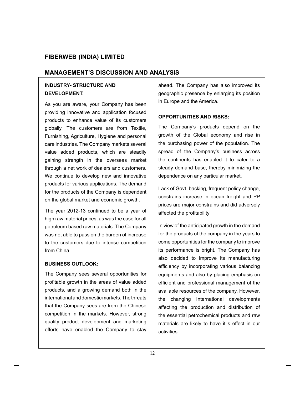#### **MANAGEMENT'S DISCUSSION AND ANALYSIS**

# **INDUSTRY- STRUCTURE AND DEVELOPMENT:**

As you are aware, your Company has been providing innovative and application focused products to enhance value of its customers globally. The customers are from Textile, Furnishing, Agriculture, Hygiene and personal care industries. The Company markets several value added products, which are steadily gaining strength in the overseas market through a net work of dealers and customers. We continue to develop new and innovative products for various applications. The demand for the products of the Company is dependent on the global market and economic growth.

The year 2012-13 continued to be a year of high raw material prices, as was the case for all petroleum based raw materials. The Company was not able to pass on the burden of increase to the customers due to intense competition from China.

#### **BUSINESS OUTLOOK:**

The Company sees several opportunities for profitable growth in the areas of value added products, and a growing demand both in the international and domestic markets. The threats that the Company sees are from the Chinese competition in the markets. However, strong quality product development and marketing efforts have enabled the Company to stay

ahead. The Company has also improved its geographic presence by enlarging its position in Europe and the America.

#### **OPPORTUNITIES AND RISKS:**

The Company's products depend on the growth of the Global economy and rise in the purchasing power of the population. The spread of the Company's business across the continents has enabled it to cater to a steady demand base, thereby minimizing the dependence on any particular market.

Lack of Govt. backing, frequent policy change, constrains increase in ocean freight and PP prices are major constrains and did adversely affected the profitability'

In view of the anticipated growth in the demand for the products of the company in the years to come opportunities for the company to improve its performance is bright. The Company has also decided to improve its manufacturing efficiency by incorporating various balancing equipments and also by placing emphasis on efficient and professional management of the available resources of the company. However, the changing International developments affecting the production and distribution of the essential petrochemical products and raw materials are likely to have it s effect in our activities.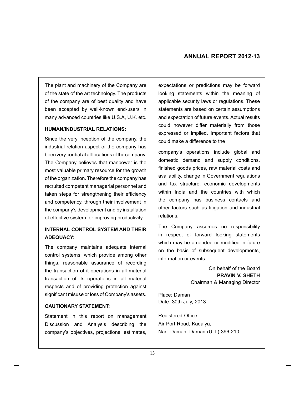### **Annual Report 2012-13**

The plant and machinery of the Company are of the state of the art technology. The products of the company are of best quality and have been accepted by well-known end-users in many advanced countries like U.S.A, U.K. etc.

### **HUMAN/INDUSTRIAL RELATIONS:**

Since the very inception of the company, the industrial relation aspect of the company has been very cordial at all locations of the company. The Company believes that manpower is the most valuable primary resource for the growth of the organization. Therefore the company has recruited competent managerial personnel and taken steps for strengthening their efficiency and competency, through their involvement in the company's development and by installation of effective system for improving productivity.

# **INTERNAL CONTROL SYSTEM AND THEIR ADEQUACY:**

The company maintains adequate internal control systems, which provide among other things, reasonable assurance of recording the transaction of it operations in all material transaction of its operations in all material respects and of providing protection against significant misuse or loss of Company's assets.

### **CAUTIONARY STATEMENT:**

Statement in this report on management Discussion and Analysis describing the company's objectives, projections, estimates,

expectations or predictions may be forward looking statements within the meaning of applicable security laws or regulations. These statements are based on certain assumptions and expectation of future events. Actual results could however differ materially from those expressed or implied. Important factors that could make a difference to the

company's operations include global and domestic demand and supply conditions, finished goods prices, raw material costs and availability, change in Government regulations and tax structure, economic developments within India and the countries with which the company has business contacts and other factors such as litigation and industrial relations.

The Company assumes no responsibility in respect of forward looking statements which may be amended or modified in future on the basis of subsequent developments, information or events.

> On behalf of the Board **PRAVIN V. SHETH** Chairman & Managing Director

Place: Daman Date: 30th July, 2013

Registered Office: Air Port Road, Kadaiya, Nani Daman, Daman (U.T.) 396 210.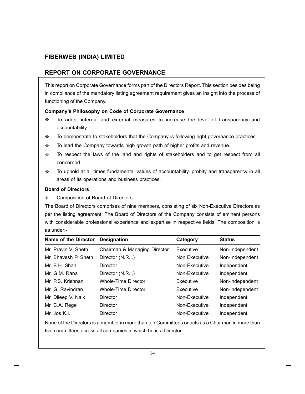# **REPORT ON CORPORATE GOVERNANCE**

This report on Corporate Governance forms part of the Directors Report. This section besides being in compliance of the mandatory listing agreement requirement gives an insight into the process of functioning of the Company.

### **Company's Philosophy on Code of Corporate Governance**

- $\div$  To adopt internal and external measures to increase the level of transparency and accountability.
- To demonstrate to stakeholders that the Company is following right governance practices.
- $\div$  To lead the Company towards high growth path of higher profits and revenue.
- $\cdot \cdot$  To respect the laws of the land and rights of stakeholders and to get respect from all concerned.
- To uphold at all times fundamental values of accountability, probity and transparency in all areas of its operations and business practices.

### **Board of Directors**

**►** Composition of Board of Directors

The Board of Directors comprises of nine members, consisting of six Non-Executive Directors as per the listing agreement. The Board of Directors of the Company consists of eminent persons with considerable professional experience and expertise in respective fields. The composition is as under:-

| Name of the Director | <b>Designation</b>           | Category      | <b>Status</b>   |
|----------------------|------------------------------|---------------|-----------------|
| Mr. Pravin V. Sheth  | Chairman & Managing Director | Executive     | Non-Independent |
| Mr. Bhavesh P. Sheth | Director (N.R.I.)            | Non Executive | Non-Independent |
| Mr. B.H. Shah        | Director                     | Non-Executive | Independent     |
| Mr. G.M. Rana        | Director (N.R.I.)            | Non-Executive | Independent     |
| Mr. P.S. Krishnan    | <b>Whole-Time Director</b>   | Executive     | Non-independent |
| Mr. G. Ravindran     | <b>Whole-Time Director</b>   | Executive     | Non-independent |
| Mr. Dileep V. Naik   | Director                     | Non-Executive | Independent     |
| Mr. C.A. Rege        | Director                     | Non-Executive | Independent.    |
| Mr. Jos K.I.         | Director                     | Non-Executive | Independent     |

None of the Directors is a member in more than ten Committees or acts as a Chairman in more than five committees across all companies in which he is a Director.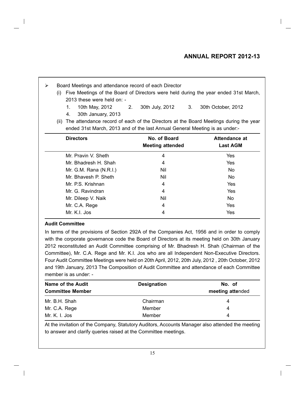| ➤ | Board Meetings and attendance record of each Director<br>Five Meetings of the Board of Directors were held during the year ended 31st March,<br>(i)<br>$2013$ these were held on: -<br>10th May, 2012 2. 30th July, 2012 3.<br>30th October, 2012<br>1.<br>30th January, 2013<br>4.<br>The attendance record of each of the Directors at the Board Meetings during the year<br>(ii)<br>ended 31st March, 2013 and of the last Annual General Meeting is as under:- |                                         |                                         |  |
|---|--------------------------------------------------------------------------------------------------------------------------------------------------------------------------------------------------------------------------------------------------------------------------------------------------------------------------------------------------------------------------------------------------------------------------------------------------------------------|-----------------------------------------|-----------------------------------------|--|
|   | <b>Directors</b>                                                                                                                                                                                                                                                                                                                                                                                                                                                   | No. of Board<br><b>Meeting attended</b> | <b>Attendance at</b><br><b>Last AGM</b> |  |
|   | Mr. Pravin V. Sheth                                                                                                                                                                                                                                                                                                                                                                                                                                                | 4                                       | Yes                                     |  |
|   | Mr. Bhadresh H. Shah                                                                                                                                                                                                                                                                                                                                                                                                                                               | 4                                       | Yes                                     |  |
|   | Mr. G.M. Rana $(N.R.I.)$                                                                                                                                                                                                                                                                                                                                                                                                                                           | Nil                                     | No.                                     |  |
|   | Mr. Bhavesh P. Sheth                                                                                                                                                                                                                                                                                                                                                                                                                                               | Nil                                     | No.                                     |  |
|   | Mr. P.S. Krishnan                                                                                                                                                                                                                                                                                                                                                                                                                                                  | 4                                       | Yes                                     |  |
|   | Mr. G. Ravindran                                                                                                                                                                                                                                                                                                                                                                                                                                                   | 4                                       | Yes                                     |  |
|   | Mr. Dileep V. Naik                                                                                                                                                                                                                                                                                                                                                                                                                                                 | Nil                                     | No.                                     |  |
|   | Mr. C.A. Rege                                                                                                                                                                                                                                                                                                                                                                                                                                                      | 4                                       | Yes                                     |  |
|   |                                                                                                                                                                                                                                                                                                                                                                                                                                                                    |                                         |                                         |  |

#### **Audit Committee**

In terms of the provisions of Section 292A of the Companies Act, 1956 and in order to comply with the corporate governance code the Board of Directors at its meeting held on 30th January 2012 reconstituted an Audit Committee comprising of Mr. Bhadresh H. Shah (Chairman of the Committee), Mr. C.A. Rege and Mr. K.I. Jos who are all Independent Non-Executive Directors. Four Audit Committee Meetings were held on 20th April, 2012, 20th July, 2012 , 20th October, 2012 and 19th January, 2013 The Composition of Audit Committee and attendance of each Committee member is as under: -

| <b>Name of the Audit</b><br><b>Committee Member</b> | <b>Designation</b> | No. of<br>meeting attended |
|-----------------------------------------------------|--------------------|----------------------------|
| Mr. B.H. Shah                                       | Chairman           | 4                          |
| Mr. C.A. Rege                                       | Member             | 4                          |
| Mr. K. I. Jos                                       | Member             | 4                          |

At the invitation of the Company, Statutory Auditors, Accounts Manager also attended the meeting to answer and clarify queries raised at the Committee meetings.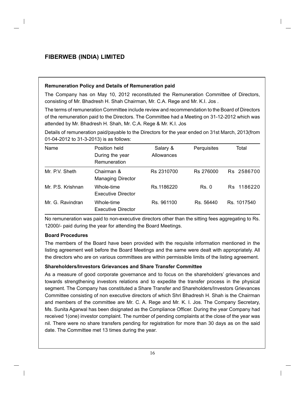### **Remuneration Policy and Details of Remuneration paid**

The Company has on May 10, 2012 reconstituted the Remuneration Committee of Directors, consisting of Mr. Bhadresh H. Shah Chairman, Mr. C.A. Rege and Mr. K.I. Jos .

The terms of remuneration Committee include review and recommendation to the Board of Directors of the remuneration paid to the Directors. The Committee had a Meeting on 31-12-2012 which was attended by Mr. Bhadresh H. Shah, Mr. C.A. Rege & Mr. K.I. Jos

Details of remuneration paid/payable to the Directors for the year ended on 31st March, 2013(from 01-04-2012 to 31-3-2013) is as follows:

| Name              | Position held<br>During the year<br>Remuneration | Salary &<br>Allowances | Perquisites  | Total          |
|-------------------|--------------------------------------------------|------------------------|--------------|----------------|
| Mr. P.V. Sheth    | Chairman &<br><b>Managing Director</b>           | Rs 2310700             | Rs 276000    | Rs 2586700     |
| Mr. P.S. Krishnan | Whole-time<br><b>Executive Director</b>          | Rs.1186220             | <b>Rs. 0</b> | 1186220<br>Rs. |
| Mr. G. Ravindran  | Whole-time<br><b>Executive Director</b>          | Rs. 961100             | Rs. 56440    | Rs. 1017540    |

No remuneration was paid to non-executive directors other than the sitting fees aggregating to Rs. 12000/- paid during the year for attending the Board Meetings.

# **Board Procedures**

The members of the Board have been provided with the requisite information mentioned in the listing agreement well before the Board Meetings and the same were dealt with appropriately. All the directors who are on various committees are within permissible limits of the listing agreement.

# **Shareholders/Investors Grievances and Share Transfer Committee**

As a measure of good corporate governance and to focus on the shareholders' grievances and towards strengthening investors relations and to expedite the transfer process in the physical segment. The Company has constituted a Share Transfer and Shareholders/Investors Grievances Committee consisting of non executive directors of which Shri Bhadresh H. Shah is the Chairman and members of the committee are Mr. C. A. Rege and Mr. K. I. Jos. The Company Secretary, Ms. Sunita Agarwal has been disignated as the Compliance Officer. During the year Company had received 1(one) investor complaint. The number of pending complaints at the close of the year was nil. There were no share transfers pending for registration for more than 30 days as on the said date. The Committee met 13 times during the year.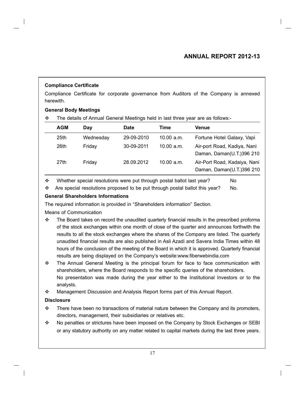### **Compliance Certificate**

Compliance Certificate for corporate governance from Auditors of the Company is annexed herewith.

### **General Body Meetings**

 The details of Annual General Meetings held in last three year are as follows:-

| <b>AGM</b> | Day       | <b>Date</b> | Time       | <b>Venue</b>                                              |
|------------|-----------|-------------|------------|-----------------------------------------------------------|
| 25th       | Wednesday | 29-09-2010  | 10.00 a.m. | Fortune Hotel Galaxy, Vapi                                |
| 26th       | Fridav    | 30-09-2011  | 10.00 a.m. | Air-port Road, Kadiya, Nani<br>Daman, Daman(U.T.)396 210  |
| 27th       | Friday    | 28.09.2012  | 10.00 a.m. | Air-Port Road, Kadaiya, Nani<br>Daman, Daman(U.T.)396 210 |

 Whether special resolutions were put through postal ballot last year? No

Are special resolutions proposed to be put through postal ballot this year? No.

# **General Shareholders Informations**

The required information is provided in "Shareholders information" Section.

Means of Communication

- $\div$  The Board takes on record the unaudited quarterly financial results in the prescribed proforma of the stock exchanges within one month of close of the quarter and announces forthwith the results to all the stock exchanges where the shares of the Company are listed. The quarterly unaudited financial results are also published in Asli Azadi and Savera India Times within 48 hours of the conclusion of the meeting of the Board in which it is approved. Quarterly financial results are being displayed on the Company's website:www.fiberwebindia.com
- The Annual General Meeting is the principal forum for face to face communication with shareholders, where the Board responds to the specific queries of the shareholders. No presentation was made during the year either to the Institutional Investors or to the analysts.

Management Discussion and Analysis Report forms part of this Annual Report.

# **Disclosure**

- $\cdot \cdot$  There have been no transactions of material nature between the Company and its promoters, directors, management, their subsidiaries or relatives etc.
- No penalties or strictures have been imposed on the Company by Stock Exchanges or SEBI or any statutory authority on any matter related to capital markets during the last three years.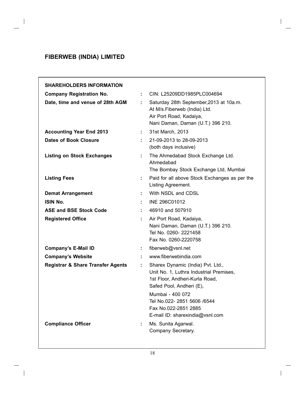$\overline{\phantom{a}}$ 

| <b>SHAREHOLDERS INFORMATION</b>              |                           |                                                                                                                                                                                                                                                          |
|----------------------------------------------|---------------------------|----------------------------------------------------------------------------------------------------------------------------------------------------------------------------------------------------------------------------------------------------------|
| <b>Company Registration No.</b>              | t.                        | CIN: L25209DD1985PLC004694                                                                                                                                                                                                                               |
| Date, time and venue of 28th AGM             | t.                        | Saturday 28th September, 2013 at 10a.m.<br>At M/s.Fiberweb (India) Ltd.<br>Air Port Road, Kadaiya,<br>Nani Daman, Daman (U.T.) 396 210.                                                                                                                  |
| <b>Accounting Year End 2013</b>              | $\mathbb{R}^{\mathbb{Z}}$ | 31st March, 2013                                                                                                                                                                                                                                         |
| <b>Dates of Book Closure</b>                 | ÷.                        | 21-09-2013 to 28-09-2013<br>(both days inclusive)                                                                                                                                                                                                        |
| <b>Listing on Stock Exchanges</b>            | ÷.                        | The Ahmedabad Stock Exchange Ltd.<br>Ahmedabad<br>The Bombay Stock Exchange Ltd, Mumbai                                                                                                                                                                  |
| <b>Listing Fees</b>                          | ÷.                        | Paid for all above Stock Exchanges as per the<br>Listing Agreement.                                                                                                                                                                                      |
| <b>Demat Arrangement</b>                     | ÷.                        | With NSDL and CDSL                                                                                                                                                                                                                                       |
| <b>ISIN No.</b>                              | ÷.                        | INE 296C01012                                                                                                                                                                                                                                            |
| <b>ASE and BSE Stock Code</b>                |                           | 46910 and 507910                                                                                                                                                                                                                                         |
| <b>Registered Office</b>                     |                           | Air Port Road, Kadaiya,<br>Nani Daman, Daman (U.T.) 396 210.<br>Tel No. 0260-2221458<br>Fax No. 0260-2220758                                                                                                                                             |
| <b>Company's E-Mail ID</b>                   | ÷.                        | fiberweb@vsnl.net                                                                                                                                                                                                                                        |
| <b>Company's Website</b>                     | ÷.                        | www.fiberwebindia.com                                                                                                                                                                                                                                    |
| <b>Registrar &amp; Share Transfer Agents</b> | ÷.                        | Sharex Dynamic (India) Pvt. Ltd.,<br>Unit No. 1, Luthra Industrial Premises,<br>1st Floor, Andheri-Kurla Road,<br>Safed Pool, Andheri (E),<br>Mumbai - 400 072<br>Tel No.022- 2851 5606 /6544<br>Fax No.022-2851 2885<br>E-mail ID: sharexindia@vsnl.com |
| <b>Compliance Officer</b>                    |                           | Ms. Sunita Agarwal.<br>Company Secretary.                                                                                                                                                                                                                |

18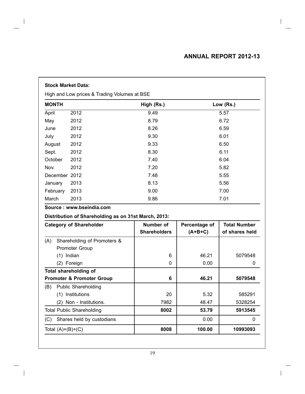|               | High and Low prices & Trading Volumes at BSE         |                     |               |                     |  |
|---------------|------------------------------------------------------|---------------------|---------------|---------------------|--|
| <b>MONTH</b>  |                                                      | High (Rs.)          |               | Low (Rs.)           |  |
| April         | 2012                                                 | 9.49                |               | 5.57                |  |
| May           | 2012                                                 | 8.79                |               | 6.72                |  |
| June          | 2012                                                 | 8.26                |               | 6.59                |  |
| July          | 2012                                                 | 9.30                |               | 6.01                |  |
| August        | 2012                                                 | 9.33                |               | 6.50                |  |
| Sept.         | 2012                                                 | 8.30                |               | 6.11                |  |
| October       | 2012                                                 | 7.40                |               | 6.04                |  |
| Nov.          | 2012                                                 | 7.20                |               | 5.82                |  |
| December 2012 |                                                      | 7.48                |               | 5.55                |  |
| January       | 2013                                                 | 8.13                |               | 5.56                |  |
| February      | 2013                                                 | 9.00                |               | 7.00                |  |
| March         | 2013                                                 | 9.86                | 7.01          |                     |  |
|               | Source: www.bseindia.com                             |                     |               |                     |  |
|               | Distribution of Shareholding as on 31st March, 2013: |                     |               |                     |  |
|               | <b>Category of Shareholder</b>                       | Number of           | Percentage of | <b>Total Number</b> |  |
|               |                                                      | <b>Shareholders</b> | $(A+B+C)$     | of shares held      |  |
| (A)           | Shareholding of Promoters &                          |                     |               |                     |  |
|               | Promoter Group                                       |                     |               |                     |  |
|               | $(1)$ Indian                                         | 6                   | 46.21         | 5079548             |  |
|               | (2) Foreign                                          | 0                   | 0.00          | 0                   |  |
|               | <b>Total shareholding of</b>                         |                     |               |                     |  |
|               | <b>Promoter &amp; Promoter Group</b>                 | 6                   | 46.21         | 5079548             |  |
| (B)           | <b>Public Shareholding</b>                           |                     |               |                     |  |
|               | (1) Institutions                                     | 20                  | 5.32          | 585291              |  |
|               | (2) Non - Institutions.                              | 7982                | 48.47         | 5328254             |  |
|               | <b>Total Public Shareholding</b>                     | 8002                | 53.79         | 5913545             |  |
|               |                                                      |                     |               |                     |  |
| (C)           | Shares held by custodians                            |                     | 0.00          | 0                   |  |

 $\overline{\phantom{a}}$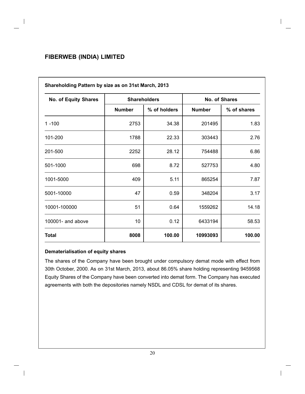| Shareholding Pattern by size as on 31st March, 2013 |                     |              |                      |             |  |
|-----------------------------------------------------|---------------------|--------------|----------------------|-------------|--|
| <b>No. of Equity Shares</b>                         | <b>Shareholders</b> |              | <b>No. of Shares</b> |             |  |
|                                                     | <b>Number</b>       | % of holders | <b>Number</b>        | % of shares |  |
| $1 - 100$                                           | 2753                | 34.38        | 201495               | 1.83        |  |
| 101-200                                             | 1788                | 22.33        | 303443               | 2.76        |  |
| 201-500                                             | 2252                | 28.12        | 754488               | 6.86        |  |
| 501-1000                                            | 698                 | 8.72         | 527753               | 4.80        |  |
| 1001-5000                                           | 409                 | 5.11         | 865254               | 7.87        |  |
| 5001-10000                                          | 47                  | 0.59         | 348204               | 3.17        |  |
| 10001-100000                                        | 51                  | 0.64         | 1559262              | 14.18       |  |
| 100001- and above                                   | 10                  | 0.12         | 6433194              | 58.53       |  |
| <b>Total</b>                                        | 8008                | 100.00       | 10993093             | 100.00      |  |

# **Dematerialisation of equity shares**

The shares of the Company have been brought under compulsory demat mode with effect from 30th October, 2000. As on 31st March, 2013, about 86.05% share holding representing 9459568 Equity Shares of the Company have been converted into demat form. The Company has executed agreements with both the depositories namely NSDL and CDSL for demat of its shares.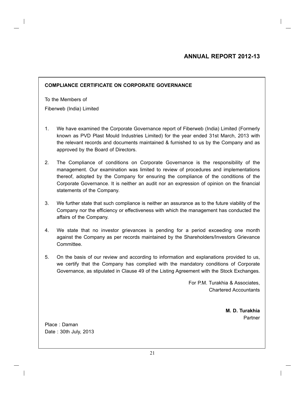# **Annual Report 2012-13**

### **COMPLIANCE CERTIFICATE ON CORPORATE GOVERNANCE**

To the Members of Fiberweb (India) Limited

- 1. We have examined the Corporate Governance report of Fiberweb (India) Limited (Formerly known as PVD Plast Mould Industries Limited) for the year ended 31st March, 2013 with the relevant records and documents maintained & furnished to us by the Company and as approved by the Board of Directors.
- 2. The Compliance of conditions on Corporate Governance is the responsibility of the management. Our examination was limited to review of procedures and implementations thereof, adopted by the Company for ensuring the compliance of the conditions of the Corporate Governance. It is neither an audit nor an expression of opinion on the financial statements of the Company.
- 3. We further state that such compliance is neither an assurance as to the future viability of the Company nor the efficiency or effectiveness with which the management has conducted the affairs of the Company.
- 4. We state that no investor grievances is pending for a period exceeding one month against the Company as per records maintained by the Shareholders/Investors Grievance Committee.
- 5. On the basis of our review and according to information and explanations provided to us, we certify that the Company has complied with the mandatory conditions of Corporate Governance, as stipulated in Clause 49 of the Listing Agreement with the Stock Exchanges.

For P.M. Turakhia & Associates, Chartered Accountants

> **M. D. Turakhia Partner**

Place : Daman Date : 30th July, 2013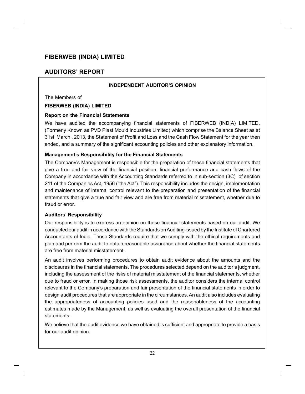# **AUDITORS' REPORT**

### **Independent Auditor's Opinion**

The Members of

**FIBERWEB (INDIA) LIMITED**

### **Report on the Financial Statements**

We have audited the accompanying financial statements of FIBERWEB (INDIA) LIMITED, (Formerly Known as PVD Plast Mould Industries Limited) which comprise the Balance Sheet as at 31st March , 2013, the Statement of Profit and Loss and the Cash Flow Statement for the year then ended, and a summary of the significant accounting policies and other explanatory information.

### **Management's Responsibility for the Financial Statements**

The Company's Management is responsible for the preparation of these financial statements that give a true and fair view of the financial position, financial performance and cash flows of the Company in accordance with the Accounting Standards referred to in sub-section (3C) of section 211 of the Companies Act, 1956 ("the Act"). This responsibility includes the design, implementation and maintenance of internal control relevant to the preparation and presentation of the financial statements that give a true and fair view and are free from material misstatement, whether due to fraud or error.

# **Auditors' Responsibility**

Our responsibility is to express an opinion on these financial statements based on our audit. We conducted our audit in accordance with the Standards onAuditing issued by the Institute of Chartered Accountants of India. Those Standards require that we comply with the ethical requirements and plan and perform the audit to obtain reasonable assurance about whether the financial statements are free from material misstatement.

An audit involves performing procedures to obtain audit evidence about the amounts and the disclosures in the financial statements. The procedures selected depend on the auditor's judgment, including the assessment of the risks of material misstatement of the financial statements, whether due to fraud or error. In making those risk assessments, the auditor considers the internal control relevant to the Company's preparation and fair presentation of the financial statements in order to design audit procedures that are appropriate in the circumstances. An audit also includes evaluating the appropriateness of accounting policies used and the reasonableness of the accounting estimates made by the Management, as well as evaluating the overall presentation of the financial statements.

We believe that the audit evidence we have obtained is sufficient and appropriate to provide a basis for our audit opinion.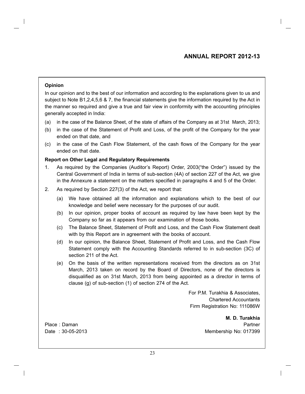#### **Opinion**

In our opinion and to the best of our information and according to the explanations given to us and subject to Note B1,2,4,5,6 & 7, the financial statements give the information required by the Act in the manner so required and give a true and fair view in conformity with the accounting principles generally accepted in India:

- (a) in the case of the Balance Sheet, of the state of affairs of the Company as at 31st March, 2013;
- (b) in the case of the Statement of Profit and Loss, of the profit of the Company for the year ended on that date, and
- (c) in the case of the Cash Flow Statement, of the cash flows of the Company for the year ended on that date.

#### **Report on Other Legal and Regulatory Requirements**

- 1. As required by the Companies (Auditor's Report) Order, 2003("the Order") issued by the Central Government of India in terms of sub-section (4A) of section 227 of the Act, we give in the Annexure a statement on the matters specified in paragraphs 4 and 5 of the Order.
- 2. As required by Section 227(3) of the Act, we report that:
	- (a) We have obtained all the information and explanations which to the best of our knowledge and belief were necessary for the purposes of our audit.
	- (b) In our opinion, proper books of account as required by law have been kept by the Company so far as it appears from our examination of those books.
	- (c) The Balance Sheet, Statement of Profit and Loss, and the Cash Flow Statement dealt with by this Report are in agreement with the books of account.
	- (d) In our opinion, the Balance Sheet, Statement of Profit and Loss, and the Cash Flow Statement comply with the Accounting Standards referred to in sub-section (3C) of section 211 of the Act.
	- (e) On the basis of the written representations received from the directors as on 31st March, 2013 taken on record by the Board of Directors, none of the directors is disqualified as on 31st March, 2013 from being appointed as a director in terms of clause (g) of sub-section (1) of section 274 of the Act.

For P.M. Turakhia & Associates, Chartered Accountants Firm Registration No: 111086W

**M. D. Turakhia** Place : Daman **Place : Partner** Date : 30-05-2013 Membership No: 017399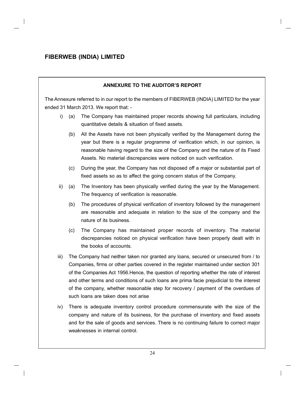# **ANNEXURE TO THE AUDITOR'S REPORT**

The Annexure referred to in our report to the members of FIBERWEB (INDIA) LIMITED for the year ended 31 March 2013. We report that: -

- i) (a) The Company has maintained proper records showing full particulars, including quantitative details & situation of fixed assets.
	- (b) All the Assets have not been physically verified by the Management during the year but there is a regular programme of verification which, in our opinion, is reasonable having regard to the size of the Company and the nature of its Fixed Assets. No material discrepancies were noticed on such verification.
	- (c) During the year, the Company has not disposed off a major or substantial part of fixed assets so as to affect the going concern status of the Company.
- $ii)$  (a) The Inventory has been physically verified during the year by the Management. The frequency of verification is reasonable.
	- (b) The procedures of physical verification of inventory followed by the management are reasonable and adequate in relation to the size of the company and the nature of its business.
	- (c) The Company has maintained proper records of inventory. The material discrepancies noticed on physical verification have been properly dealt with in the books of accounts.
- iii) The Company had neither taken nor granted any loans, secured or unsecured from / to Companies, firms or other parties covered in the register maintained under section 301 of the Companies Act 1956.Hence, the question of reporting whether the rate of interest and other terms and conditions of such loans are prima facie prejudicial to the interest of the company, whether reasonable step for recovery / payment of the overdues of such loans are taken does not arise
- iv) There is adequate inventory control procedure commensurate with the size of the company and nature of its business, for the purchase of inventory and fixed assets and for the sale of goods and services. There is no continuing failure to correct major weaknesses in internal control.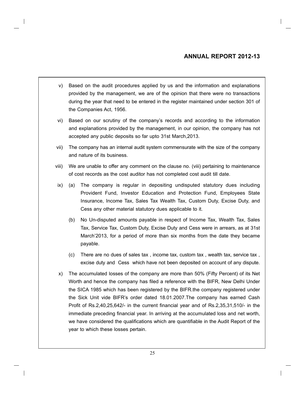# **Annual Report 2012-13**

- v) Based on the audit procedures applied by us and the information and explanations provided by the management, we are of the opinion that there were no transactions during the year that need to be entered in the register maintained under section 301 of the Companies Act, 1956.
- vi) Based on our scrutiny of the company's records and according to the information and explanations provided by the management, in our opinion, the company has not accepted any public deposits so far upto 31st March,2013.
- vii) The company has an internal audit system commensurate with the size of the company and nature of its business.
- viii) We are unable to offer any comment on the clause no. (viii) pertaining to maintenance of cost records as the cost auditor has not completed cost audit till date.
- ix) (a) The company is regular in depositing undisputed statutory dues including Provident Fund, Investor Education and Protection Fund, Employees State Insurance, Income Tax, Sales Tax Wealth Tax, Custom Duty, Excise Duty, and Cess any other material statutory dues applicable to it.
	- (b) No Un-disputed amounts payable in respect of Income Tax, Wealth Tax, Sales Tax, Service Tax, Custom Duty, Excise Duty and Cess were in arrears, as at 31st March'2013, for a period of more than six months from the date they became payable.
	- (c) There are no dues of sales tax , income tax, custom tax , wealth tax, service tax , excise duty and Cess which have not been deposited on account of any dispute.
- x) The accumulated losses of the company are more than 50% (Fifty Percent) of its Net Worth and hence the company has filed a reference with the BIFR, New Delhi Under the SICA 1985 which has been registered by the BIFR.the company registered under the Sick Unit vide BIFR's order dated 18.01.2007.The company has earned Cash Profit of Rs.2,40,25,642/- in the current financial year and of Rs.2,35,31,510/- in the immediate preceding financial year. In arriving at the accumulated loss and net worth, we have considered the qualifications which are quantifiable in the Audit Report of the year to which these losses pertain.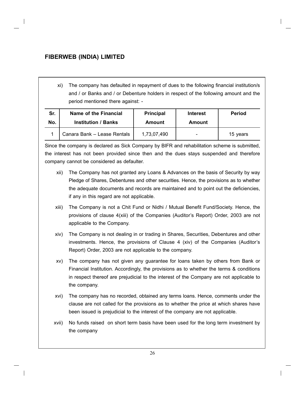xi) The company has defaulted in repayment of dues to the following financial institution/s and / or Banks and / or Debenture holders in respect of the following amount and the period mentioned there against: -

| Sr. | Name of the Financial       | <b>Principal</b> | <b>Interest</b> | <b>Period</b> |
|-----|-----------------------------|------------------|-----------------|---------------|
| No. | <b>Institution / Banks</b>  | Amount           | Amount          |               |
|     | Canara Bank - Lease Rentals | 1,73,07,490      | -               | 15 years      |

Since the company is declared as Sick Company by BIFR and rehabilitation scheme is submitted, the interest has not been provided since then and the dues stays suspended and therefore company cannot be considered as defaulter.

- xii) The Company has not granted any Loans & Advances on the basis of Security by way Pledge of Shares, Debentures and other securities. Hence, the provisions as to whether the adequate documents and records are maintained and to point out the deficiencies, if any in this regard are not applicable.
- xiii) The Company is not a Chit Fund or Nidhi / Mutual Benefit Fund/Society. Hence, the provisions of clause 4(xiii) of the Companies (Auditor's Report) Order, 2003 are not applicable to the Company.
- xiv) The Company is not dealing in or trading in Shares, Securities, Debentures and other investments. Hence, the provisions of Clause 4 (xiv) of the Companies (Auditor's Report) Order, 2003 are not applicable to the company.
- xv) The company has not given any guarantee for loans taken by others from Bank or Financial Institution. Accordingly, the provisions as to whether the terms & conditions in respect thereof are prejudicial to the interest of the Company are not applicable to the company.
- xvi) The company has no recorded, obtained any terms loans. Hence, comments under the clause are not called for the provisions as to whether the price at which shares have been issued is prejudicial to the interest of the company are not applicable.
- xvii) No funds raised on short term basis have been used for the long term investment by the company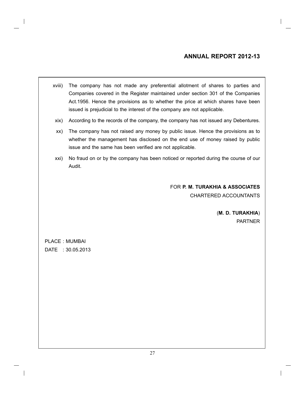# **Annual Report 2012-13**

- xviii) The company has not made any preferential allotment of shares to parties and Companies covered in the Register maintained under section 301 of the Companies Act.1956. Hence the provisions as to whether the price at which shares have been issued is prejudicial to the interest of the company are not applicable.
- xix) According to the records of the company, the company has not issued any Debentures.
- xx) The company has not raised any money by public issue. Hence the provisions as to whether the management has disclosed on the end use of money raised by public issue and the same has been verified are not applicable.
- xxi) No fraud on or by the company has been noticed or reported during the course of our Audit.

FOR **P. M. TURAKHIA & ASSOCIATES** CHARTERED ACCOUNTANTS

> (**M. D. TURAKHIA**) **PARTNER**

PLACE : MUMBAI DATE : 30.05.2013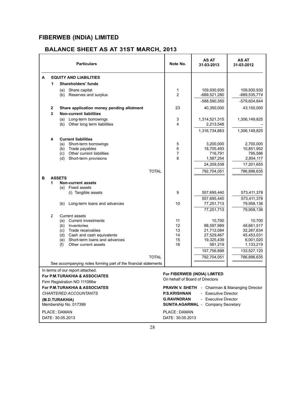# **BALANCE SHEET AS AT 31ST MARCH, 2013**

|   |                                          | <b>Particulars</b>                                              | Note No.               | <b>AS AT</b><br>31-03-2013                                        | AS AT<br>31-03-2012             |
|---|------------------------------------------|-----------------------------------------------------------------|------------------------|-------------------------------------------------------------------|---------------------------------|
| A |                                          | <b>EQUITY AND LIABILITIES</b>                                   |                        |                                                                   |                                 |
|   | 1                                        | Shareholders' funds                                             |                        |                                                                   |                                 |
|   |                                          | Share capital<br>(a)<br>(b) Reserves and surplus                | 1<br>$\overline{c}$    | 109,930,930<br>-689,521,280                                       | 109,930,930<br>$-689,535,774$   |
|   |                                          |                                                                 |                        | -588,590,350                                                      | -579,604,844                    |
|   | 2                                        | Share application money pending allotment                       | 23                     | 40,350,000                                                        | 43,150,000                      |
|   | 3                                        | <b>Non-current liabilities</b>                                  |                        |                                                                   |                                 |
|   |                                          | (a) Long-term borrowings<br>Other long term liabilities<br>(b)  | 3<br>4                 | 1,314,521,315<br>2,213,548                                        | 1,306,149,825                   |
|   |                                          |                                                                 |                        | 1,316,734,863                                                     | 1,306,149,825                   |
|   | 4                                        | <b>Current liabilities</b>                                      |                        |                                                                   |                                 |
|   |                                          | Short-term borrowings<br>(a)<br>Trade payables<br>(b)           | 5<br>6                 | 3,200,000<br>18,705,493                                           | 2,700,000<br>10,851,952         |
|   |                                          | Other current liabilities<br>(c)                                | 7                      | 716,791                                                           | 795,586                         |
|   |                                          | (d)<br>Short-term provisions                                    | 8                      | 1,587,254                                                         | 2,854,117                       |
|   |                                          |                                                                 |                        | 24,209,538                                                        | 17,201,655                      |
|   |                                          | <b>TOTAL</b>                                                    |                        | 792,704,051                                                       | 786,896,635                     |
| в |                                          | <b>ASSETS</b>                                                   |                        |                                                                   |                                 |
|   | 1                                        | <b>Non-current assets</b><br><b>Fixed assets</b><br>(a)         |                        |                                                                   |                                 |
|   |                                          | (i) Tangible assets                                             | 9                      | 557,695,440                                                       | 573,411,378                     |
|   |                                          |                                                                 |                        | 557,695,440                                                       | 573,411,378                     |
|   |                                          | Long-term loans and advances<br>(b)                             | 10                     | 77,251,713                                                        | 79,958,136                      |
|   |                                          |                                                                 |                        | 77,251,713                                                        | 79,958,136                      |
|   | $\overline{2}$                           | <b>Current assets</b><br><b>Current investments</b><br>(a)      | 11                     | 10,700                                                            | 10,700                          |
|   |                                          | Inventories<br>(b)                                              | 12                     | 88,597,989                                                        | 48,661,517                      |
|   |                                          | Trade receivables<br>(c)                                        | 13                     | 21,712,084                                                        | 32,267,634                      |
|   |                                          | Cash and cash equivalents<br>(d)                                | 14                     | 27,529,467                                                        | 45,453,031                      |
|   |                                          | Short-term loans and advances<br>(e)                            | 15                     | 19,325,439                                                        | 6,001,020                       |
|   |                                          | (f)<br>Other current assets                                     | 16                     | 581,219                                                           | 1,133,219                       |
|   |                                          |                                                                 |                        | 157,756,898                                                       | 133,527,120                     |
|   |                                          | <b>TOTAL</b>                                                    |                        | 792,704,051                                                       | 786,896,635                     |
|   |                                          | See accompanying notes forming part of the financial statements |                        |                                                                   |                                 |
|   |                                          | In terms of our report attached.                                |                        |                                                                   |                                 |
|   | <b>For P.M.TURAKHIA &amp; ASSOCIATES</b> |                                                                 |                        | For FIBERWEB (INDIA) LIMITED<br>On hehalf of Board of Directors   |                                 |
|   |                                          | Firm Registration NO 111086w                                    |                        |                                                                   |                                 |
|   |                                          | <b>For P.M. TURAKHIA &amp; ASSOCIATES</b>                       | <b>PRAVIN V. SHETH</b> |                                                                   | - Chairman & Mananging Director |
|   | <b>CHARTERED ACCOUNTANTS</b>             |                                                                 | <b>P.S.KRISHNAN</b>    | - Executive Director                                              |                                 |
|   |                                          | (M.D.TURAKHIA)<br>Membership No. 017399                         | <b>G.RAVINDRAN</b>     | - Executive Director<br><b>SUNITA AGARWAL - Company Secretary</b> |                                 |
|   |                                          | PLACE: DAMAN                                                    | PLACE: DAMAN           |                                                                   |                                 |
|   |                                          | DATE: 30.05.2013                                                | DATE: 30.05.2013       |                                                                   |                                 |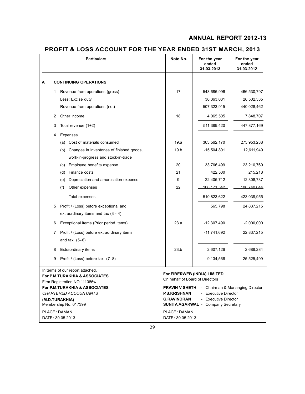# **PROFIT & LOSS ACCOUNT FOR THE YEAR ENDED 31ST MARCH, 2013**

|   |   | <b>Particulars</b>                                            | Note No.                        | For the year<br>ended<br>31-03-2013                               | For the year<br>ended<br>31-03-2012 |
|---|---|---------------------------------------------------------------|---------------------------------|-------------------------------------------------------------------|-------------------------------------|
| А |   | <b>CONTINUING OPERATIONS</b>                                  |                                 |                                                                   |                                     |
|   | 1 | Revenue from operations (gross)                               | 17                              | 543,686,996                                                       | 466,530,797                         |
|   |   | Less: Excise duty                                             |                                 | 36,363,081                                                        | 26,502,335                          |
|   |   | Revenue from operations (net)                                 |                                 | 507,323,915                                                       | 440,028,462                         |
|   | 2 | Other income                                                  | 18                              | 4,065,505                                                         | 7,848,707                           |
|   | 3 | Total revenue (1+2)                                           |                                 | 511,389,420                                                       | 447,877,169                         |
|   | 4 | Expenses                                                      |                                 |                                                                   |                                     |
|   |   | (a) Cost of materials consumed                                | 19.a                            | 363,562,170                                                       | 273,953,238                         |
|   |   | Changes in inventories of finished goods,<br>(b)              | 19.b                            | $-15,504,801$                                                     | 12,611,949                          |
|   |   | work-in-progress and stock-in-trade                           |                                 |                                                                   |                                     |
|   |   | Employee benefits expense<br>(c)                              | 20                              | 33,766,499                                                        | 23,210,769                          |
|   |   | Finance costs<br>(d)                                          | 21                              | 422,500                                                           | 215,218                             |
|   |   | Depreciation and amortisation expense<br>(e)                  | 9                               | 22,405,712                                                        | 12,308,737                          |
|   |   | (f)<br>Other expenses                                         | 22                              | 106,171,542                                                       | 100,740,044                         |
|   |   | Total expenses                                                |                                 | 510,823,622                                                       | 423,039,955                         |
|   | 5 | Profit / (Loss) before exceptional and                        |                                 | 565,798                                                           | 24,837,215                          |
|   |   | extraordinary items and tax $(3 - 4)$                         |                                 |                                                                   |                                     |
|   | 6 | Exceptional items (Prior period Items)                        | 23.a                            | $-12,307,490$                                                     | $-2,000,000$                        |
|   | 7 | Profit / (Loss) before extraordinary items                    |                                 | $-11,741,692$                                                     | 22,837,215                          |
|   |   | and tax $(5-6)$                                               |                                 |                                                                   |                                     |
|   | 8 | Extraordinary items                                           | 23.b                            | 2,607,126                                                         | 2,688,284                           |
|   | 9 | Profit / (Loss) before tax (7-8)                              |                                 | $-9,134,566$                                                      | 25,525,499                          |
|   |   | In terms of our report attached.                              |                                 |                                                                   |                                     |
|   |   | For P.M.TURAKHIA & ASSOCIATES                                 | On hehalf of Board of Directors | For FIBERWEB (INDIA) LIMITED                                      |                                     |
|   |   | Firm Registration NO 111086w<br>For P.M.TURAKHIA & ASSOCIATES | <b>PRAVIN V SHETH</b>           |                                                                   | - Chairman & Mananging Director     |
|   |   | CHARTERED ACCOUNTANTS                                         | <b>P.S.KRISHNAN</b>             | - Executive Director                                              |                                     |
|   |   | (M.D.TURAKHIA)<br>Membership No. 017399                       | <b>G.RAVINDRAN</b>              | - Executive Director<br><b>SUNITA AGARWAL - Company Secretary</b> |                                     |
|   |   | PLACE: DAMAN                                                  | PLACE: DAMAN                    |                                                                   |                                     |
|   |   | DATE: 30.05.2013                                              | DATE: 30.05.2013                |                                                                   |                                     |

ı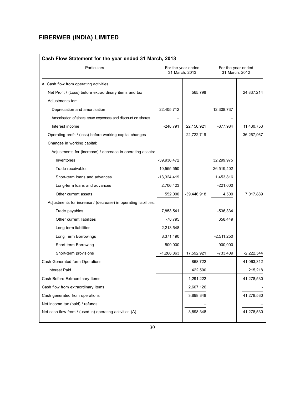| Cash Flow Statement for the year ended 31 March, 2013           |               |                                      |                                      |              |  |  |  |  |
|-----------------------------------------------------------------|---------------|--------------------------------------|--------------------------------------|--------------|--|--|--|--|
| Particulars                                                     |               | For the year ended<br>31 March. 2013 | For the year ended<br>31 March, 2012 |              |  |  |  |  |
| A. Cash flow from operating activities                          |               |                                      |                                      |              |  |  |  |  |
| Net Profit / (Loss) before extraordinary items and tax          |               | 565,798                              |                                      | 24,837,214   |  |  |  |  |
| Adjustments for:                                                |               |                                      |                                      |              |  |  |  |  |
| Depreciation and amortisation                                   | 22,405,712    |                                      | 12,308,737                           |              |  |  |  |  |
| Amortisation of share issue expenses and discount on shares     |               |                                      |                                      |              |  |  |  |  |
| Interest income                                                 | $-248,791$    | 22,156,921                           | $-877,984$                           | 11,430,753   |  |  |  |  |
| Operating profit / (loss) before working capital changes        |               | 22,722,719                           |                                      | 36,267,967   |  |  |  |  |
| Changes in working capital:                                     |               |                                      |                                      |              |  |  |  |  |
| Adjustments for (increase) / decrease in operating assets:      |               |                                      |                                      |              |  |  |  |  |
| Inventories                                                     | $-39,936,472$ |                                      | 32,299,975                           |              |  |  |  |  |
| Trade receivables                                               | 10,555,550    |                                      | $-26,519,402$                        |              |  |  |  |  |
| Short-term loans and advances                                   | $-13,324,419$ |                                      | 1,453,816                            |              |  |  |  |  |
| Long-term loans and advances                                    | 2,706,423     |                                      | $-221,000$                           |              |  |  |  |  |
| Other current assets                                            | 552,000       | $-39,446,918$                        | 4,500                                | 7,017,889    |  |  |  |  |
| Adjustments for increase / (decrease) in operating liabilities: |               |                                      |                                      |              |  |  |  |  |
| Trade payables                                                  | 7,853,541     |                                      | $-536,334$                           |              |  |  |  |  |
| Other current liabilities                                       | $-78,795$     |                                      | 658,449                              |              |  |  |  |  |
| Long term liabilities                                           | 2,213,548     |                                      |                                      |              |  |  |  |  |
| Long Term Borrowings                                            | 8,371,490     |                                      | $-2,511,250$                         |              |  |  |  |  |
| Short-term Borrowing                                            | 500,000       |                                      | 900,000                              |              |  |  |  |  |
| Short-term provisions                                           | $-1,266,863$  | 17,592,921                           | $-733,409$                           | $-2,222,544$ |  |  |  |  |
| Cash Generated form Operations                                  |               | 868,722                              |                                      | 41,063,312   |  |  |  |  |
| <b>Interest Paid</b>                                            |               | 422,500                              |                                      | 215,218      |  |  |  |  |
| Cash Before Extraordinary Items                                 |               | 1,291,222                            |                                      | 41,278,530   |  |  |  |  |
| Cash flow from extraordinary items                              |               | 2,607,126                            |                                      |              |  |  |  |  |
| Cash generated from operations                                  |               | 3,898,348                            |                                      | 41,278,530   |  |  |  |  |
| Net income tax (paid) / refunds                                 |               |                                      |                                      |              |  |  |  |  |
| Net cash flow from / (used in) operating activities (A)         |               | 3,898,348                            |                                      | 41,278,530   |  |  |  |  |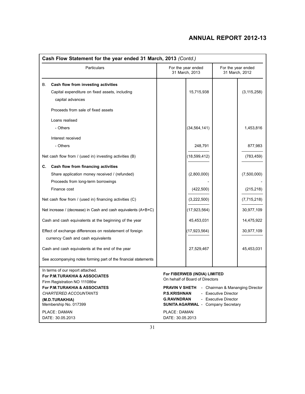| Cash Flow Statement for the year ended 31 March, 2013 (Contd.)                                                      |                                                                                                                 |                                                                                 |  |  |
|---------------------------------------------------------------------------------------------------------------------|-----------------------------------------------------------------------------------------------------------------|---------------------------------------------------------------------------------|--|--|
| <b>Particulars</b>                                                                                                  | For the year ended<br>31 March, 2013                                                                            | For the year ended<br>31 March. 2012                                            |  |  |
| В.<br>Cash flow from investing activities<br>Capital expenditure on fixed assets, including<br>capital advances     | 15,715,938                                                                                                      | (3, 115, 258)                                                                   |  |  |
| Proceeds from sale of fixed assets                                                                                  |                                                                                                                 |                                                                                 |  |  |
| Loans realised                                                                                                      |                                                                                                                 |                                                                                 |  |  |
| - Others                                                                                                            | (34, 564, 141)                                                                                                  | 1,453,816                                                                       |  |  |
| Interest received                                                                                                   |                                                                                                                 |                                                                                 |  |  |
| - Others                                                                                                            | 248,791                                                                                                         | 877,983                                                                         |  |  |
| Net cash flow from / (used in) investing activities (B)                                                             | (18,599,412)                                                                                                    | (783, 459)                                                                      |  |  |
| Cash flow from financing activities<br>С.                                                                           |                                                                                                                 |                                                                                 |  |  |
| Share application money received / (refunded)                                                                       | (2,800,000)                                                                                                     | (7,500,000)                                                                     |  |  |
| Proceeds from long-term borrowings                                                                                  |                                                                                                                 |                                                                                 |  |  |
| Finance cost                                                                                                        | (422,500)                                                                                                       | (215, 218)                                                                      |  |  |
| Net cash flow from / (used in) financing activities (C)                                                             | (3,222,500)                                                                                                     | (7,715,218)                                                                     |  |  |
| Net increase / (decrease) in Cash and cash equivalents (A+B+C)                                                      | (17,923,564)                                                                                                    | 30,977,109                                                                      |  |  |
| Cash and cash equivalents at the beginning of the year                                                              | 45,453,031                                                                                                      | 14,475,922                                                                      |  |  |
| Effect of exchange differences on restatement of foreign                                                            | (17, 923, 564)                                                                                                  | 30,977,109                                                                      |  |  |
| currency Cash and cash equivalents                                                                                  |                                                                                                                 |                                                                                 |  |  |
| Cash and cash equivalents at the end of the year                                                                    | 27,529,467                                                                                                      | 45,453,031                                                                      |  |  |
| See accompanying notes forming part of the financial statements                                                     |                                                                                                                 |                                                                                 |  |  |
| In terms of our report attached.<br><b>For P.M.TURAKHIA &amp; ASSOCIATES</b><br>Firm Registration NO 111086w        | For FIBERWEB (INDIA) LIMITED<br>On hehalf of Board of Directors                                                 |                                                                                 |  |  |
| <b>For P.M.TURAKHIA &amp; ASSOCIATES</b><br><i>CHARTERED ACCOUNTANTS</i><br>(M.D.TURAKHIA)<br>Membership No. 017399 | <b>PRAVIN V SHETH</b><br><b>P.S.KRISHNAN</b><br><b>G.RAVINDRAN</b><br><b>SUNITA AGARWAL - Company Secretary</b> | - Chairman & Mananging Director<br>- Executive Director<br>- Executive Director |  |  |
| <b>PLACE: DAMAN</b><br>DATE: 30.05.2013                                                                             | PLACE: DAMAN<br>DATE: 30.05.2013                                                                                |                                                                                 |  |  |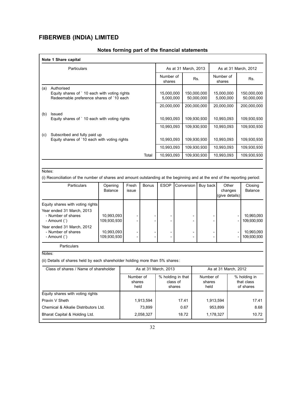|        | Note 1 Share capital                                                                                                       |                           |                             |              |                         |                    |     |                             |                         |                                    |                                         |
|--------|----------------------------------------------------------------------------------------------------------------------------|---------------------------|-----------------------------|--------------|-------------------------|--------------------|-----|-----------------------------|-------------------------|------------------------------------|-----------------------------------------|
|        | <b>Particulars</b>                                                                                                         |                           |                             |              |                         |                    |     | As at 31 March, 2013        |                         |                                    | As at 31 March, 2012                    |
|        |                                                                                                                            |                           |                             |              | Number of<br>shares     |                    | Rs. |                             | Number of<br>shares     |                                    | Rs.                                     |
| (a)    | Authorised<br>Equity shares of ` 10 each with voting rights<br>Redeemable preference shares of '10 each                    |                           |                             |              | 15,000,000<br>5,000,000 |                    |     | 150,000,000<br>50,000,000   | 15,000,000<br>5,000,000 |                                    | 150,000,000<br>50,000,000               |
|        |                                                                                                                            |                           |                             |              | 20,000,000              |                    |     | 200,000,000                 | 20,000,000              |                                    | 200,000,000                             |
| (b)    | Issued<br>Equity shares of ` 10 each with voting rights                                                                    |                           |                             |              | 10,993,093              |                    |     | 109,930,930                 | 10,993,093              |                                    | 109,930,930                             |
|        |                                                                                                                            |                           |                             |              | 10,993,093              |                    |     | 109,930,930                 | 10,993,093              |                                    | 109,930,930                             |
| (c)    | Subscribed and fully paid up<br>Equity shares of `10 each with voting rights                                               |                           |                             |              | 10,993,093              |                    |     | 109,930,930                 | 10,993,093              |                                    | 109,930,930                             |
|        |                                                                                                                            |                           |                             |              | 10,993,093              |                    |     | 109,930,930                 | 10,993,093              |                                    | 109,930,930                             |
|        |                                                                                                                            |                           |                             | Total        | 10,993,093              |                    |     | 109,930,930                 | 10,993,093              |                                    | 109,930,930                             |
|        |                                                                                                                            |                           |                             |              |                         |                    |     |                             |                         |                                    |                                         |
| Notes: |                                                                                                                            |                           |                             |              |                         |                    |     |                             |                         |                                    |                                         |
|        | (i) Reconciliation of the number of shares and amount outstanding at the beginning and at the end of the reporting period: |                           |                             |              |                         |                    |     |                             |                         |                                    |                                         |
|        | Particulars                                                                                                                | Opening<br>Balance        | Fresh<br>issue              | <b>Bonus</b> | <b>ESOP</b>             | Conversion         |     | Buy back                    |                         | Other<br>changes<br>(give details) | Closing<br><b>Balance</b>               |
|        | Equity shares with voting rights                                                                                           |                           |                             |              |                         |                    |     |                             |                         |                                    |                                         |
|        | Year ended 31 March, 2013<br>- Number of shares<br>- Amount (`)                                                            | 10,993,093<br>109,930,930 |                             |              |                         |                    |     |                             |                         |                                    | 10,993,093<br>109,930,930               |
|        | Year ended 31 March, 2012<br>- Number of shares<br>- Amount (`)                                                            | 10,993,093<br>109,930,930 | -                           |              |                         |                    |     |                             |                         |                                    | 10,993,093<br>109,930,930               |
|        | Particulars                                                                                                                |                           |                             |              |                         |                    |     |                             |                         |                                    |                                         |
| Notes: |                                                                                                                            |                           |                             |              |                         |                    |     |                             |                         |                                    |                                         |
|        | (ii) Details of shares held by each shareholder holding more than 5% shares:                                               |                           |                             |              |                         |                    |     |                             |                         |                                    |                                         |
|        | Class of shares / Name of shareholder                                                                                      |                           |                             |              | As at 31 March, 2013    |                    |     |                             | As at 31 March, 2012    |                                    |                                         |
|        |                                                                                                                            |                           | Number of<br>shares<br>held |              | % holding in that       | class of<br>shares |     | Number of<br>shares<br>held |                         |                                    | % holding in<br>that class<br>of shares |
|        | Equity shares with voting rights                                                                                           |                           |                             |              |                         |                    |     |                             |                         |                                    |                                         |
|        | Pravin V Sheth                                                                                                             |                           |                             | 1,913,594    |                         | 17.41              |     |                             | 1,913,594               |                                    | 17.41                                   |
|        | Chemical & Alkalie Distributors Ltd.                                                                                       |                           |                             | 73,899       |                         | 0.67               |     |                             | 953,899                 |                                    | 8.68                                    |
|        | Bharat Capital & Holding Ltd.                                                                                              |                           |                             | 2,058,327    |                         | 18.72              |     |                             | 1,178,327               |                                    | 10.72                                   |

### **Notes forming part of the financial statements**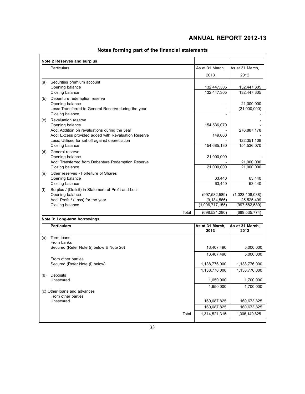|     | Note 2 Reserves and surplus                          |                                  |                 |
|-----|------------------------------------------------------|----------------------------------|-----------------|
|     | Particulars                                          | As at 31 March,                  | As at 31 March, |
|     |                                                      | 2013                             | 2012            |
| (a) | Securities premium account                           |                                  |                 |
|     | Opening balance                                      | 132,447,305                      | 132,447,305     |
|     | Closing balance                                      | 132,447,305                      | 132,447,305     |
| (b) | Debenture redemption reserve                         |                                  |                 |
|     | Opening balance                                      |                                  | 21,000,000      |
|     | Less: Transferred to General Reserve during the year |                                  | (21,000,000)    |
|     | Closing balance<br>Revaluation reserve               |                                  |                 |
| (c) | Opening balance                                      | 154,536,070                      |                 |
|     | Add: Addition on revaluations during the year        |                                  | 276,887,178     |
|     | Add: Excess provided added with Revaluation Reserve  | 149,060                          |                 |
|     | Less: Utilised for set off against depreciation      |                                  | 122,351,108     |
|     | Closing balance                                      | 154,685,130                      | 154,536,070     |
| (d) | General reserve                                      |                                  |                 |
|     | Opening balance                                      | 21,000,000                       |                 |
|     | Add: Transferred from Debenture Redemption Reserve   |                                  | 21,000,000      |
|     | Closing balance                                      | 21,000,000                       | 21,000,000      |
| (e) | Other reserves - Forfeiture of Shares                |                                  |                 |
|     | Opening balance                                      | 63,440                           | 63,440          |
|     | Closing balance                                      | 63,440                           | 63,440          |
| (f) | Surplus / (Deficit) in Statement of Profit and Loss  |                                  | (1,023,108,088) |
|     | Opening balance<br>Add: Profit / (Loss) for the year | (997, 582, 589)<br>(9, 134, 566) | 25,525,499      |
|     | Closing balance                                      | (1,006,717,155)                  | (997, 582, 589) |
|     | Total                                                | (698, 521, 280)                  | (689, 535, 774) |
|     | Note 3: Long-term borrowings                         |                                  |                 |
|     | <b>Particulars</b>                                   | As at 31 March,                  | As at 31 March, |
|     |                                                      | 2013                             | 2012            |
| (a) | Term loans                                           |                                  |                 |
|     | From banks                                           |                                  |                 |
|     | Secured (Refer Note (i) below & Note 26)             | 13,407,490                       | 5,000,000       |
|     |                                                      | 13,407,490                       | 5,000,000       |
|     | From other parties                                   |                                  |                 |
|     | Secured (Refer Note (i) below)                       | 1,138,776,000                    | 1,138,776,000   |
|     |                                                      | 1,138,776,000                    | 1,138,776,000   |
| (b) | Deposits<br>Unsecured                                | 1,650,000                        | 1,700,000       |
|     |                                                      | 1,650,000                        | 1,700,000       |
|     | (c) Other loans and advances                         |                                  |                 |
|     | From other parties                                   |                                  |                 |
|     | Unsecured                                            | 160,687,825                      | 160,673,825     |
|     |                                                      | 160,687,825                      | 160,673,825     |
|     | Total                                                | 1,314,521,315                    | 1,306,149,825   |
|     |                                                      |                                  |                 |

# **Notes forming part of the financial statements**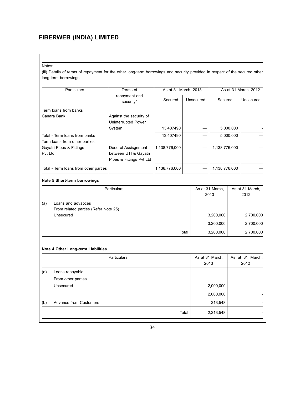Notes:

(iii) Details of terms of repayment for the other long-term borrowings and security provided in respect of the secured other long-term borrowings:

| Unsecured<br>Secured<br>Unsecured<br>Secured<br>security*<br>Term loans from banks<br>Canara Bank<br>Against the security of<br>Uninterrupted Power<br>System<br>5,000,000<br>13,407490<br>5,000,000<br>Total - Term loans from banks<br>13,407490<br>Term loans from other parties:<br>Gayatri Pipes & Fittings<br>Deed of Assisgnment<br>1,138,776,000<br>1,138,776,000<br>Pvt Ltd.<br>between UTI & Gayatri<br>Pipes & Fittings Pvt Ltd<br>1,138,776,000<br>1,138,776,000<br>Total - Term loans from other parties<br>Note 5 Short-term borrowings<br>As at 31 March,<br>As at 31 March,<br>Particulars<br>2013<br>2012<br>(a)<br>Loans and advabces<br>From related parties (Refer Note 25)<br>Unsecured<br>3,200,000<br>2,700,000<br>3,200,000<br>2,700,000<br>Total<br>3,200,000<br>2,700,000<br>Note 4 Other Long-term Liabilities<br>As at 31 March,<br>As at 31 March,<br>Particulars<br>2013<br>2012<br>Loans repayable<br>(a)<br>From other parties<br>Unsecured<br>2,000,000<br>2,000,000<br><b>Advance from Customers</b><br>213,548<br>(b)<br>Total<br>2,213,548 |  | Particulars<br>Terms of<br>As at 31 March, 2013 |               |  |  |  | As at 31 March, 2012 |  |  |
|--------------------------------------------------------------------------------------------------------------------------------------------------------------------------------------------------------------------------------------------------------------------------------------------------------------------------------------------------------------------------------------------------------------------------------------------------------------------------------------------------------------------------------------------------------------------------------------------------------------------------------------------------------------------------------------------------------------------------------------------------------------------------------------------------------------------------------------------------------------------------------------------------------------------------------------------------------------------------------------------------------------------------------------------------------------------------------|--|-------------------------------------------------|---------------|--|--|--|----------------------|--|--|
|                                                                                                                                                                                                                                                                                                                                                                                                                                                                                                                                                                                                                                                                                                                                                                                                                                                                                                                                                                                                                                                                                |  |                                                 | repayment and |  |  |  |                      |  |  |
|                                                                                                                                                                                                                                                                                                                                                                                                                                                                                                                                                                                                                                                                                                                                                                                                                                                                                                                                                                                                                                                                                |  |                                                 |               |  |  |  |                      |  |  |
|                                                                                                                                                                                                                                                                                                                                                                                                                                                                                                                                                                                                                                                                                                                                                                                                                                                                                                                                                                                                                                                                                |  |                                                 |               |  |  |  |                      |  |  |
|                                                                                                                                                                                                                                                                                                                                                                                                                                                                                                                                                                                                                                                                                                                                                                                                                                                                                                                                                                                                                                                                                |  |                                                 |               |  |  |  |                      |  |  |
|                                                                                                                                                                                                                                                                                                                                                                                                                                                                                                                                                                                                                                                                                                                                                                                                                                                                                                                                                                                                                                                                                |  |                                                 |               |  |  |  |                      |  |  |
|                                                                                                                                                                                                                                                                                                                                                                                                                                                                                                                                                                                                                                                                                                                                                                                                                                                                                                                                                                                                                                                                                |  |                                                 |               |  |  |  |                      |  |  |
|                                                                                                                                                                                                                                                                                                                                                                                                                                                                                                                                                                                                                                                                                                                                                                                                                                                                                                                                                                                                                                                                                |  |                                                 |               |  |  |  |                      |  |  |
|                                                                                                                                                                                                                                                                                                                                                                                                                                                                                                                                                                                                                                                                                                                                                                                                                                                                                                                                                                                                                                                                                |  |                                                 |               |  |  |  |                      |  |  |
|                                                                                                                                                                                                                                                                                                                                                                                                                                                                                                                                                                                                                                                                                                                                                                                                                                                                                                                                                                                                                                                                                |  |                                                 |               |  |  |  |                      |  |  |
|                                                                                                                                                                                                                                                                                                                                                                                                                                                                                                                                                                                                                                                                                                                                                                                                                                                                                                                                                                                                                                                                                |  |                                                 |               |  |  |  |                      |  |  |
|                                                                                                                                                                                                                                                                                                                                                                                                                                                                                                                                                                                                                                                                                                                                                                                                                                                                                                                                                                                                                                                                                |  |                                                 |               |  |  |  |                      |  |  |
|                                                                                                                                                                                                                                                                                                                                                                                                                                                                                                                                                                                                                                                                                                                                                                                                                                                                                                                                                                                                                                                                                |  |                                                 |               |  |  |  |                      |  |  |
|                                                                                                                                                                                                                                                                                                                                                                                                                                                                                                                                                                                                                                                                                                                                                                                                                                                                                                                                                                                                                                                                                |  |                                                 |               |  |  |  |                      |  |  |
|                                                                                                                                                                                                                                                                                                                                                                                                                                                                                                                                                                                                                                                                                                                                                                                                                                                                                                                                                                                                                                                                                |  |                                                 |               |  |  |  |                      |  |  |
|                                                                                                                                                                                                                                                                                                                                                                                                                                                                                                                                                                                                                                                                                                                                                                                                                                                                                                                                                                                                                                                                                |  |                                                 |               |  |  |  |                      |  |  |
|                                                                                                                                                                                                                                                                                                                                                                                                                                                                                                                                                                                                                                                                                                                                                                                                                                                                                                                                                                                                                                                                                |  |                                                 |               |  |  |  |                      |  |  |
|                                                                                                                                                                                                                                                                                                                                                                                                                                                                                                                                                                                                                                                                                                                                                                                                                                                                                                                                                                                                                                                                                |  |                                                 |               |  |  |  |                      |  |  |
|                                                                                                                                                                                                                                                                                                                                                                                                                                                                                                                                                                                                                                                                                                                                                                                                                                                                                                                                                                                                                                                                                |  |                                                 |               |  |  |  |                      |  |  |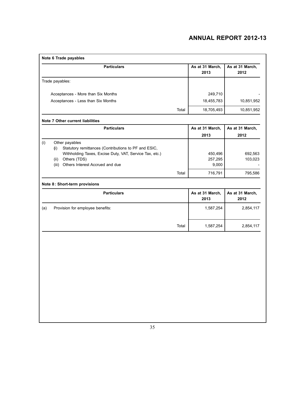| <b>Particulars</b>                                                                                                                                                                                                  |       | As at 31 March,<br>2013     | As at 31 March,<br>2012 |
|---------------------------------------------------------------------------------------------------------------------------------------------------------------------------------------------------------------------|-------|-----------------------------|-------------------------|
| Trade payables:                                                                                                                                                                                                     |       |                             |                         |
| Acceptances - More than Six Months                                                                                                                                                                                  |       | 249,710                     |                         |
| Acceptances - Less than Six Months                                                                                                                                                                                  |       | 18,455,783                  | 10,851,952              |
|                                                                                                                                                                                                                     | Total | 18,705,493                  | 10,851,952              |
| Note 7 Other current liabilities                                                                                                                                                                                    |       |                             |                         |
| <b>Particulars</b>                                                                                                                                                                                                  |       | As at 31 March,             | As at 31 March,         |
|                                                                                                                                                                                                                     |       | 2013                        | 2012                    |
| (i)<br>Other payables<br>Statutory remittances (Contributions to PF and ESIC,<br>(i)<br>Withholding Taxes, Excise Duty, VAT, Service Tax, etc.)<br>Others (TDS)<br>(ii)<br>Others Interest Accrued and due<br>(iii) |       | 450,496<br>257,295<br>9,000 | 692,563<br>103,023      |
|                                                                                                                                                                                                                     | Total | 716,791                     | 795,586                 |
| Note 8: Short-term provisions                                                                                                                                                                                       |       |                             |                         |
| <b>Particulars</b>                                                                                                                                                                                                  |       | As at 31 March,<br>2013     | As at 31 March,<br>2012 |
| (a)<br>Provision for employee benefits:                                                                                                                                                                             |       | 1,587,254                   | 2,854,117               |
|                                                                                                                                                                                                                     | Total | 1,587,254                   | 2,854,117               |
|                                                                                                                                                                                                                     |       |                             |                         |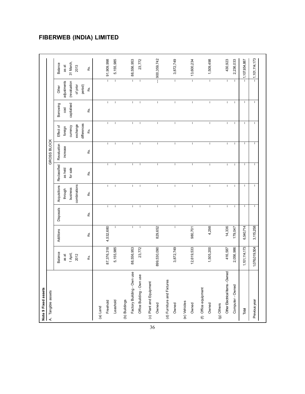| Note 9 Fixed assets            |               |                |                          |                          |                          |              |                    |                          |                |                   |
|--------------------------------|---------------|----------------|--------------------------|--------------------------|--------------------------|--------------|--------------------|--------------------------|----------------|-------------------|
| A. Tangible assets             |               |                |                          |                          |                          | GROSS BLOCK  |                    |                          |                |                   |
|                                | Balance       | Additions      | <b>Disposals</b>         | Acquisitions             | Reclassified             | Revaluation  | Effect of          | Borrowing                | Other          | Balance           |
|                                | as at         |                |                          | through                  | as held                  | increase     | foreign            | cost                     | adjustments    | as at             |
|                                | 1 April,      |                |                          | business                 | for sale                 |              | currency           | capitalised              | (revaluation   | 31 March,         |
|                                | 2012          |                |                          | combinations             |                          |              | exchange           |                          | of prior       | 2013              |
|                                | Rs.           | Rs.            | Rs.                      | Rs.                      | Rs.                      | Rs.          | differences<br>Rs. | Rs.                      | period)<br>Rs. | Rs.               |
|                                |               |                |                          |                          |                          |              |                    |                          |                |                   |
| (a) Land                       |               |                |                          |                          |                          |              |                    |                          |                |                   |
| Freehold                       | 87,376,318    | 4,532,680      | $\mathbf{I}$             | $\mathbf{I}$             | $\mathbf{I}$             | I            | $\mathbf{I}$       | $\mathbf{I}$             |                | 91,909,998        |
| Leashold                       | 5,155,985     |                | $\overline{1}$           | $\overline{\phantom{a}}$ | I                        |              | $\overline{1}$     | $\overline{\phantom{a}}$ | $\mathsf I$    | 5,155,985         |
| (b) Buildings                  |               |                |                          |                          |                          |              |                    |                          |                |                   |
| Factory Building - Own use     | 88,556,953    | $\overline{1}$ | $\overline{1}$           | $\mathbf{I}$             | $\overline{1}$           | $\mathsf{I}$ | $\mathbf{I}$       | $\overline{1}$           | $\overline{1}$ | 88,556,953        |
| Office Building - Own use      | 23,772        |                | $\overline{1}$           | $\mathbf{I}$             |                          |              | $\mathbf{I}$       | $\mathbf{I}$             | $\overline{1}$ | 23,772            |
| (c) Plant and Equipment        |               |                |                          |                          |                          |              |                    |                          |                |                   |
| Owned                          | 899,530,090   | 829,652        | $\mathbf{I}$             | $\mathbf{I}$             | $\mathbf{I}$             | ı            | $\mathbf{I}$       | $\overline{1}$           |                | 900,359,742       |
| (d) Furniture and Fixtures     |               |                |                          |                          |                          |              |                    |                          |                |                   |
| Owned                          | 3,872,749     | I              | $\overline{1}$           | I                        | I.                       | ı            | $\mathbf{I}$       | I.                       | $\mathsf I$    | 3,872,749         |
| (e) Vehicles                   |               |                |                          |                          |                          |              |                    |                          |                |                   |
| Owned                          | 12,619,533    | 980,701        | $\overline{\phantom{a}}$ | $\mathbf{I}$             | $\overline{\phantom{a}}$ |              | $\mathbf{I}$       | $\overline{\phantom{a}}$ | $\overline{1}$ | 13,600,234        |
| (f) Office equipment           |               |                |                          |                          |                          |              |                    |                          |                |                   |
| Owned                          | 1,505,200     | 4,298          | I.                       | I                        | I.                       | I            | $\mathsf I$        | $\overline{1}$           | $\overline{1}$ | 1,509,498         |
| (g) Others                     |               |                |                          |                          |                          |              |                    |                          |                |                   |
| Other Electrical Items - Owned | 416,587       | 14,336         | Ï                        | I                        | I                        |              | I                  | I                        | I.             | 430,923           |
| Computer - Owned               | 2,056,986     | 179,047        | $\overline{\phantom{a}}$ | -1                       | J.                       |              | $\mathbf{I}$       | $\mathbf{I}$             |                | 2,236,033         |
| Total                          | 1,101,114,173 | 6,540,714      | ı                        | п                        | п                        |              | I.                 | т                        |                | 1,107,654,887     |
| Previous year                  | 1,076,019,504 | 3,115,258      |                          |                          |                          |              | $\mathbf{I}$       | 1                        |                | $- 1,101,114,173$ |
|                                |               |                |                          |                          |                          |              |                    |                          |                |                   |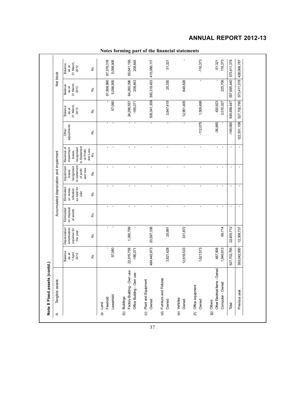|                                         | 31 March,<br>2012<br>Balance<br>as at                                                      | RS.  | 87,376,318<br>5,098,905                     | 208,843<br>65,641,195                                                    | 415,086,117                      | 51,321                              |                       | $-116,373$                              | 116,373<br>$-51,321$                                                | 573,411,378    | 428,068,787    |
|-----------------------------------------|--------------------------------------------------------------------------------------------|------|---------------------------------------------|--------------------------------------------------------------------------|----------------------------------|-------------------------------------|-----------------------|-----------------------------------------|---------------------------------------------------------------------|----------------|----------------|
| Net block                               | 31 March,<br>2013<br>Balance<br>as at                                                      | RS.  | 91,908,998<br>5,098,905                     | 64,260,396<br>208,843                                                    | 395,318,433                      | 25,330                              | 648,829               | ٠                                       | 225,706                                                             | 557,695,440    | 573,411,378    |
|                                         | 31 March,<br>2013<br>Balance<br>as at                                                      | œ.   | 57,080                                      | 24,296,557<br>$-185,071$                                                 | 505,041,309                      | 3,847,419                           | 12,951,405            | 1,509,498                               | 430,923<br>2,010,327                                                | 549,959,447    | 527,702,795    |
|                                         | adjustments<br>Other                                                                       | Rs.  | $\mathbf{I}$                                | ٠<br>$\blacksquare$                                                      | т                                | т                                   | $\blacksquare$        | $-112,075$                              | -36,985                                                             | $-149,060$     | 122,351,108    |
|                                         | in Statement<br>Reversal of<br>recognised<br>impairment<br>and Loss<br>of Profit<br>losses | Rs.  | $\mathbf{L}_{\mathrm{eff}}$<br>$\mathbf{I}$ | $\sim$<br>$\blacksquare$                                                 | $\blacksquare$                   | $\blacksquare$                      | $\mathbf{I}$          | $\blacksquare$                          | $\mathbf{I}$<br>$\blacksquare$                                      | $\mathbf{r}$   | $\mathbf{I}$   |
|                                         | in statement<br>Impairment<br>recognised<br>and loss<br>of profit<br>losses                | œ.   | $\mathbf{L}$<br>$\blacksquare$              | $\sim$<br>$\blacksquare$                                                 | ï                                | $\blacksquare$                      |                       |                                         | $\blacksquare$<br>$\blacksquare$                                    | $\mathbf{I}$   | $\mathbf{I}$   |
| Accumulated depreciation and impairment | sification<br>as held for<br>Eliminated<br>on reclas-<br>sale                              | Rs.  | ٠<br>J.                                     | ı<br>$\blacksquare$                                                      | ٠                                | 1                                   |                       | $\mathbf{I}$                            | ٠<br>J.                                                             | $\mathbf{I}$   | $\mathbf{I}$   |
|                                         | Eliminated<br>on disposal<br>of assets                                                     | RS.  | $\mathbf{r}$<br>$\blacksquare$              | $\mathbf{r}$<br>$\blacksquare$                                           | $\blacksquare$                   | $\mathbf{I}$                        | $\mathbf{I}$          | $\blacksquare$                          | ı<br>J.                                                             | $\blacksquare$ | $\blacksquare$ |
|                                         | Depreciation/<br>amortisation<br>expense for<br>the year                                   | R\$. | $\mathbf{L}$<br>$\blacksquare$              | 1,380,799                                                                | 20,597,336                       | 25,991                              | 331,872               |                                         | 69,714                                                              | 22,405,712     | 12,308,737     |
|                                         | Balance<br>1 April,<br>2012<br>as at                                                       | Rs.  | 57,080                                      | 22,915,758<br>$-185,07$                                                  | 484,443,973                      | 3,821,428                           | 12,619,533            | 1,621,573                               | 467,908<br>1,940,613                                                | 527,702,795    | 393,042,950    |
| Tangible assets                         |                                                                                            |      | Leasehold<br>Freehold<br>Land               | Factory Building - Own use<br>Office Building - Own use<br>(b) Buildings | (c) Plant and Equipment<br>Owned | (d) Furniture and Fixtures<br>Owned | (e) Vehicles<br>Owned | Office equipment<br>Owned<br>$\epsilon$ | Owned<br>Other Electrical tems-<br>Computer - Owned<br>$(9)$ Others | Total          | Previous year  |

# **Notes forming part of the financial statements**

# **ANNUAL REPORT 2012-13**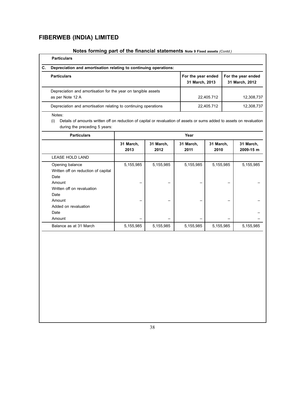# **Notes forming part of the financial statements Note 9 Fixed assets** *(Contd.)*

| <b>Particulars</b>                                                                |                                      |                                      |
|-----------------------------------------------------------------------------------|--------------------------------------|--------------------------------------|
| Depreciation and amortisation relating to continuing operations:                  |                                      |                                      |
| <b>Particulars</b>                                                                | For the year ended<br>31 March, 2013 | For the year ended<br>31 March, 2012 |
| Depreciation and amortisation for the year on tangible assets<br>as per Note 12 A | 22,405.712                           | 12,308,737                           |
| Depreciation and amortisation relating to continuing operations                   | 22,405.712                           | 12,308,737                           |

Notes:

| <b>Particulars</b>                                                                                             |                   |                   | Year              |                   |                        |
|----------------------------------------------------------------------------------------------------------------|-------------------|-------------------|-------------------|-------------------|------------------------|
|                                                                                                                | 31 March,<br>2013 | 31 March,<br>2012 | 31 March,<br>2011 | 31 March,<br>2010 | 31 March,<br>2009-15 m |
| <b>LEASE HOLD LAND</b>                                                                                         |                   |                   |                   |                   |                        |
| Opening balance<br>Written off on reduction of capital<br>Date<br>Amount<br>Written off on revaluation<br>Date | 5,155,985         | 5,155,985         | 5,155,985         | 5,155,985         | 5,155,985              |
| Amount<br>Added on revaluation<br>Date<br>Amount                                                               |                   |                   |                   |                   |                        |
| Balance as at 31 March                                                                                         | 5,155,985         | 5,155,985         | 5,155,985         | 5,155,985         | 5,155,985              |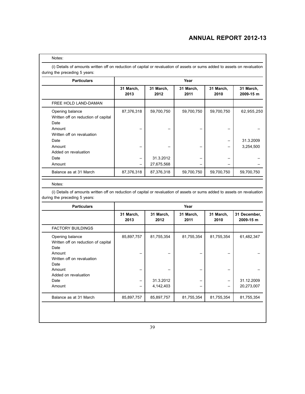#### Notes:

(i) Details of amounts written off on reduction of capital or revaluation of assets or sums added to assets on revaluation during the preceding 5 years:

| <b>Particulars</b>                                                                                                       |                   |                         | Year              |                   |                                      |
|--------------------------------------------------------------------------------------------------------------------------|-------------------|-------------------------|-------------------|-------------------|--------------------------------------|
|                                                                                                                          | 31 March,<br>2013 | 31 March,<br>2012       | 31 March,<br>2011 | 31 March,<br>2010 | 31 March,<br>2009-15 m               |
| FREE HOLD LAND-DAMAN                                                                                                     |                   |                         |                   |                   |                                      |
| Opening balance<br>Written off on reduction of capital<br>Date<br>Amount<br>Written off on revaluation<br>Date<br>Amount | 87,376,318        | 59,700,750              | 59,700,750        | 59,700,750        | 62,955,250<br>31.3.2009<br>3,254,500 |
| Added on revaluation<br>Date<br>Amount                                                                                   |                   | 31.3.2012<br>27,675,568 |                   |                   |                                      |
| Balance as at 31 March                                                                                                   | 87,376,318        | 87,376,318              | 59,700,750        | 59,700,750        | 59,700,750                           |

#### Notes:

| <b>Particulars</b>                                                       |                   |                        | Year              |                   |                           |
|--------------------------------------------------------------------------|-------------------|------------------------|-------------------|-------------------|---------------------------|
|                                                                          | 31 March,<br>2013 | 31 March,<br>2012      | 31 March,<br>2011 | 31 March,<br>2010 | 31 December,<br>2009-15 m |
| <b>FACTORY BUILDINGS</b>                                                 |                   |                        |                   |                   |                           |
| Opening balance<br>Written off on reduction of capital<br>Date<br>Amount | 85,897,757        | 81,755,354             | 81,755,354        | 81,755,354        | 61,482,347                |
| Written off on revaluation<br>Date                                       | –                 |                        |                   |                   |                           |
| Amount<br>Added on revaluation                                           |                   |                        |                   |                   |                           |
| Date<br>Amount                                                           |                   | 31.3.2012<br>4,142,403 |                   |                   | 31.12.2009<br>20,273,007  |
| Balance as at 31 March                                                   | 85,897,757        | 85,897,757             | 81,755,354        | 81,755,354        | 81,755,354                |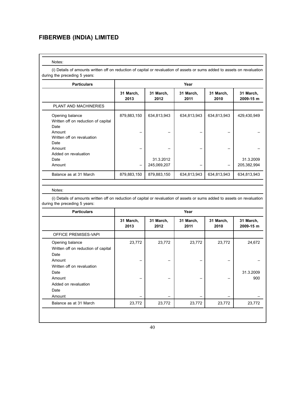#### Notes:

1

(i) Details of amounts written off on reduction of capital or revaluation of assets or sums added to assets on revaluation during the preceding 5 years:

| <b>Particulars</b>                                                                                     |                          |                          | Year              |                   |                          |
|--------------------------------------------------------------------------------------------------------|--------------------------|--------------------------|-------------------|-------------------|--------------------------|
|                                                                                                        | 31 March,<br>2013        | 31 March,<br>2012        | 31 March,<br>2011 | 31 March,<br>2010 | 31 March,<br>2009-15 m   |
| <b>PLANT AND MACHINERIES</b>                                                                           |                          |                          |                   |                   |                          |
| Opening balance<br>Written off on reduction of capital<br>Date<br>Amount<br>Written off on revaluation | 879,883,150              | 634,813,943              | 634,813,943       | 634,813,943       | 429,430,949              |
| Date<br>Amount<br>Added on revaluation<br>Date<br>Amount                                               | $\overline{\phantom{0}}$ | 31.3.2012<br>245,069,207 |                   |                   | 31.3.2009<br>205,382,994 |
| Balance as at 31 March                                                                                 | 879,883,150              | 879,883,150              | 634,813,943       | 634,813,943       | 634,813,943              |

#### Notes:

| <b>Particulars</b>                                             |                   |                   | Year              |                   |                        |
|----------------------------------------------------------------|-------------------|-------------------|-------------------|-------------------|------------------------|
|                                                                | 31 March,<br>2013 | 31 March,<br>2012 | 31 March,<br>2011 | 31 March,<br>2010 | 31 March,<br>2009-15 m |
| <b>OFFICE PREMISES-VAPI</b>                                    |                   |                   |                   |                   |                        |
| Opening balance<br>Written off on reduction of capital<br>Date | 23,772            | 23,772            | 23,772            | 23,772            | 24,672                 |
| Amount<br>Written off on revaluation                           |                   |                   |                   |                   |                        |
| Date<br>Amount<br>Added on revaluation                         |                   |                   |                   |                   | 31.3.2009<br>900       |
| Date<br>Amount                                                 |                   |                   |                   |                   |                        |
| Balance as at 31 March                                         | 23,772            | 23,772            | 23,772            | 23,772            | 23,772                 |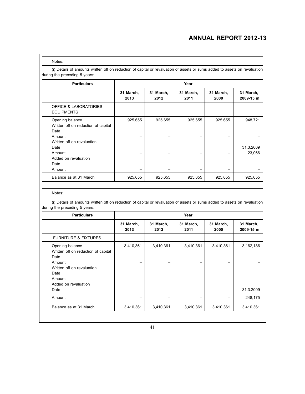#### Notes:

(i) Details of amounts written off on reduction of capital or revaluation of assets or sums added to assets on revaluation during the preceding 5 years:

| <b>Particulars</b>                                             |                   |                   | Year              |                   |                        |
|----------------------------------------------------------------|-------------------|-------------------|-------------------|-------------------|------------------------|
|                                                                | 31 March,<br>2013 | 31 March,<br>2012 | 31 March,<br>2011 | 31 March,<br>2000 | 31 March,<br>2009-15 m |
| <b>OFFICE &amp; LABORATORIES</b><br><b>EQUIPMENTS</b>          |                   |                   |                   |                   |                        |
| Opening balance<br>Written off on reduction of capital<br>Date | 925,655           | 925,655           | 925,655           | 925,655           | 948,721                |
| Amount<br>Written off on revaluation<br>Date                   |                   |                   |                   |                   | 31.3.2009              |
| Amount<br>Added on revaluation                                 |                   |                   |                   |                   | 23,066                 |
| Date<br>Amount                                                 |                   |                   |                   |                   |                        |
| Balance as at 31 March                                         | 925,655           | 925,655           | 925,655           | 925,655           | 925,655                |

#### Notes:

| <b>Particulars</b>                                             |                   |                   | Year              |                   |                        |
|----------------------------------------------------------------|-------------------|-------------------|-------------------|-------------------|------------------------|
|                                                                | 31 March,<br>2013 | 31 March,<br>2012 | 31 March,<br>2011 | 31 March,<br>2000 | 31 March,<br>2009-15 m |
| <b>FURNITURE &amp; FIXTURES</b>                                |                   |                   |                   |                   |                        |
| Opening balance<br>Written off on reduction of capital<br>Date | 3,410,361         | 3,410,361         | 3,410,361         | 3,410,361         | 3,162,186              |
| Amount<br>Written off on revaluation<br>Date                   |                   |                   |                   |                   |                        |
| Amount<br>Added on revaluation                                 |                   |                   |                   |                   |                        |
| Date                                                           |                   |                   |                   |                   | 31.3.2009              |
| Amount                                                         |                   |                   |                   |                   | 248,175                |
| Balance as at 31 March                                         | 3,410,361         | 3,410,361         | 3,410,361         | 3,410,361         | 3,410,361              |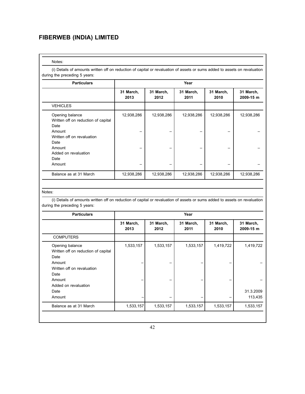#### Notes:

(i) Details of amounts written off on reduction of capital or revaluation of assets or sums added to assets on revaluation during the preceding 5 years:

| <b>Particulars</b>                                                                                     |                   |                   | Year              |                   |                        |
|--------------------------------------------------------------------------------------------------------|-------------------|-------------------|-------------------|-------------------|------------------------|
|                                                                                                        | 31 March,<br>2013 | 31 March,<br>2012 | 31 March,<br>2011 | 31 March,<br>2010 | 31 March,<br>2009-15 m |
| <b>VEHICLES</b>                                                                                        |                   |                   |                   |                   |                        |
| Opening balance<br>Written off on reduction of capital<br>Date<br>Amount<br>Written off on revaluation | 12,938,286        | 12,938,286        | 12,938,286        | 12,938,286        | 12,938,286             |
| Date<br>Amount<br>Added on revaluation<br>Date<br>Amount                                               |                   |                   |                   |                   |                        |
| Balance as at 31 March                                                                                 | 12,938,286        | 12,938,286        | 12,938,286        | 12,938,286        | 12,938,286             |

#### Notes:

| <b>Particulars</b>                                             |                   |                   | Year              |                   |                        |
|----------------------------------------------------------------|-------------------|-------------------|-------------------|-------------------|------------------------|
|                                                                | 31 March,<br>2013 | 31 March,<br>2012 | 31 March,<br>2011 | 31 March,<br>2010 | 31 March,<br>2009-15 m |
| <b>COMPUTERS</b>                                               |                   |                   |                   |                   |                        |
| Opening balance<br>Written off on reduction of capital<br>Date | 1,533,157         | 1,533,157         | 1,533,157         | 1,419,722         | 1,419,722              |
| Amount<br>Written off on revaluation<br>Date                   |                   |                   |                   |                   |                        |
| Amount<br>Added on revaluation                                 |                   |                   |                   |                   |                        |
| Date<br>Amount                                                 |                   |                   |                   |                   | 31.3.2009<br>113,435   |
| Balance as at 31 March                                         | 1,533,157         | 1,533,157         | 1,533,157         | 1,533,157         | 1,533,157              |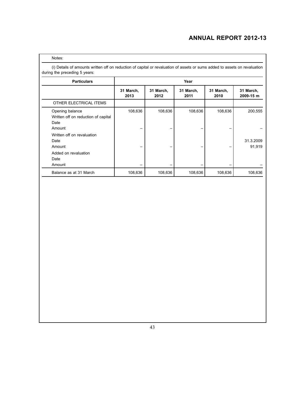#### Notes:

| <b>Particulars</b>                                                       |                   |                   | Year              |                   |                        |
|--------------------------------------------------------------------------|-------------------|-------------------|-------------------|-------------------|------------------------|
|                                                                          | 31 March,<br>2013 | 31 March,<br>2012 | 31 March,<br>2011 | 31 March,<br>2010 | 31 March,<br>2009-15 m |
| OTHER ELECTRICAL ITEMS                                                   |                   |                   |                   |                   |                        |
| Opening balance<br>Written off on reduction of capital<br>Date<br>Amount | 108,636           | 108,636           | 108,636           | 108,636           | 200,555                |
| Written off on revaluation<br>Date<br>Amount                             |                   |                   |                   |                   | 31.3.2009<br>91,919    |
| Added on revaluation<br>Date<br>Amount                                   |                   |                   |                   |                   |                        |
| Balance as at 31 March                                                   | 108,636           | 108,636           | 108,636           | 108,636           | 108,636                |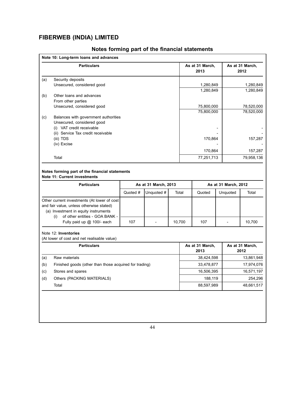|                          | <b>Particulars</b>                                                                    |          |                          |        | As at 31 March,<br>2013  |                              | As at 31 March,<br>2012  |
|--------------------------|---------------------------------------------------------------------------------------|----------|--------------------------|--------|--------------------------|------------------------------|--------------------------|
| (a)                      | Security deposits                                                                     |          |                          |        |                          |                              |                          |
|                          | Unsecured, considered good                                                            |          |                          |        | 1,280,849                |                              | 1,280,849                |
|                          |                                                                                       |          |                          |        | 1,280,849                |                              | 1,280,849                |
| (b)                      | Other loans and advances                                                              |          |                          |        |                          |                              |                          |
|                          | From other parties                                                                    |          |                          |        |                          |                              |                          |
|                          | Unsecured, considered good                                                            |          |                          |        | 75,800,000<br>75,800,000 |                              | 78,520,000<br>78,520,000 |
| (c)                      | Balances with government authorities                                                  |          |                          |        |                          |                              |                          |
|                          | Unsecured, considered good                                                            |          |                          |        |                          |                              |                          |
|                          | (i) VAT credit receivable                                                             |          |                          |        |                          |                              |                          |
|                          | (ii) Service Tax credit receivable                                                    |          |                          |        |                          |                              |                          |
|                          | (iii) TDS                                                                             |          |                          |        | 170,864                  |                              | 157,287                  |
|                          | (iv) Excise                                                                           |          |                          |        |                          |                              |                          |
|                          |                                                                                       |          |                          |        | 170,864                  |                              | 157,287                  |
|                          | Total                                                                                 |          |                          |        | 77,251,713               |                              | 79,958,136               |
|                          | Notes forming part of the financial statements<br><b>Note 11: Current investments</b> |          |                          |        |                          |                              |                          |
|                          | <b>Particulars</b>                                                                    |          | As at 31 March, 2013     |        |                          | As at 31 March, 2012         |                          |
|                          |                                                                                       | Quoted # | Unquoted #               | Total  | Quoted                   | Unquoted                     | Total                    |
|                          | Other current investments (At lower of cost                                           |          |                          |        |                          |                              |                          |
|                          | and fair value, unless otherwise stated)                                              |          |                          |        |                          |                              |                          |
|                          | (a) Investment in equity instruments                                                  |          |                          |        |                          |                              |                          |
|                          | of other entities - GOA BANK -<br>(i)<br>Fully paid up @ 100/- each                   | 107      | $\overline{\phantom{0}}$ | 10,700 | 107                      | $\qquad \qquad \blacksquare$ | 10,700                   |
|                          | Note 12: Inventories<br>(At lower of cost and net realisable value)                   |          |                          |        |                          |                              |                          |
|                          | <b>Particulars</b>                                                                    |          |                          |        | As at 31 March,<br>2013  |                              | As at 31 March,<br>2012  |
|                          | Raw materials                                                                         |          |                          |        | 38,424,598               |                              | 13,861,948               |
|                          | Finished goods (other than those acquired for trading)                                |          |                          |        | 33,478,877               |                              | 17,974,076               |
|                          | Stores and spares                                                                     |          |                          |        | 16,506,395               |                              | 16,571,197               |
| (a)<br>(b)<br>(c)<br>(d) | Others (PACKING MATERIALS)                                                            |          |                          |        | 188,119                  |                              | 254,296                  |

# **Notes forming part of the financial statements**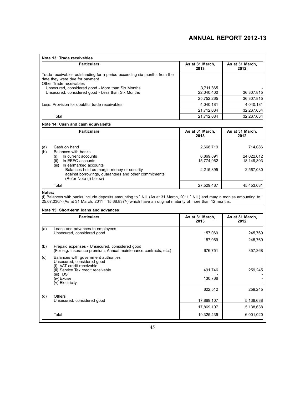| Note 13: Trade receivables                                                                                                                                                                                                                                                            |                         |                          |
|---------------------------------------------------------------------------------------------------------------------------------------------------------------------------------------------------------------------------------------------------------------------------------------|-------------------------|--------------------------|
| <b>Particulars</b>                                                                                                                                                                                                                                                                    | As at 31 March,<br>2013 | As at 31 March,<br>2012  |
| Trade receivables outstanding for a period exceeding six months from the<br>date they were due for payment<br>Other Trade receivables                                                                                                                                                 |                         |                          |
| Unsecured, considered good - More than Six Months<br>Unsecured, considered good - Less than Six Months                                                                                                                                                                                | 3,711,865<br>22,040,400 | 36,307,815               |
|                                                                                                                                                                                                                                                                                       | 25,752,265              | 36,307,815               |
| Less: Provision for doubtful trade receivables                                                                                                                                                                                                                                        | 4,040,181               | 4,040,181                |
|                                                                                                                                                                                                                                                                                       | 21,712,084              | 32,267,634               |
| Total                                                                                                                                                                                                                                                                                 | 21,712,084              | 32,267,634               |
| Note 14: Cash and cash equivalents                                                                                                                                                                                                                                                    |                         |                          |
| <b>Particulars</b>                                                                                                                                                                                                                                                                    | As at 31 March,<br>2013 | As at 31 March,<br>2012  |
| (a)<br>Cash on hand<br>(b)<br>Balances with banks                                                                                                                                                                                                                                     | 2,668,719               | 714,086                  |
| In current accounts<br>(i)<br>In EEFC accounts<br>(ii)<br>(iii) In earmarked accounts                                                                                                                                                                                                 | 6,869,891<br>15,774,962 | 24,022,612<br>18,149,303 |
| - Balances held as margin money or security<br>against borrowings, guarantees and other commitments<br>(Refer Note (i) below)                                                                                                                                                         | 2,215,895               | 2,567,030                |
| Total                                                                                                                                                                                                                                                                                 | 27,529,467              | 45,453,031               |
| Notes:<br>(i) Balances with banks include deposits amounting to `NIL (As at 31 March, 2011 `NIL) and margin monies amounting to `<br>25,67,030/- (As at 31 March, 2011 15,68,837/-) which have an original maturity of more than 12 months.<br>Note 15: Short-term loans and advances |                         |                          |
| <b>Particulars</b>                                                                                                                                                                                                                                                                    | As at 31 March,<br>2013 | As at 31 March,<br>2012  |
| (a)<br>Loans and advances to employees                                                                                                                                                                                                                                                |                         |                          |
| Unsecured, considered good                                                                                                                                                                                                                                                            | 157,069                 | 245,769                  |
|                                                                                                                                                                                                                                                                                       | 157,069                 | 245,769                  |
| Prepaid expenses - Unsecured, considered good<br>(b)<br>(For e.g. Insurance premium, Annual maintenance contracts, etc.)                                                                                                                                                              | 676,751                 | 357,368                  |
| (c)<br>Balances with government authorities<br>Unsecured, considered good<br>(i) VAT credit receivable                                                                                                                                                                                |                         |                          |
| (ii) Service Tax credit receivable<br>(iii) TDS                                                                                                                                                                                                                                       | 491,746                 | 259,245                  |
| (IV)Excise<br>(v) Electricity                                                                                                                                                                                                                                                         | 130,766                 |                          |
|                                                                                                                                                                                                                                                                                       | 622,512                 | 259,245                  |
| Others<br>(d)<br>Unsecured, considered good                                                                                                                                                                                                                                           | 17,869,107              | 5,138,638                |
|                                                                                                                                                                                                                                                                                       | 17,869,107              | 5,138,638                |
| Total                                                                                                                                                                                                                                                                                 | 19,325,439              | 6,001,020                |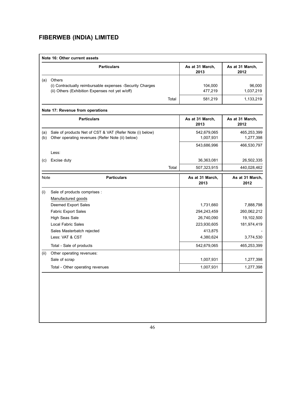|            | <b>Particulars</b>                                                                                                     |       | As at 31 March,<br>2013  | As at 31 March,<br>2012  |
|------------|------------------------------------------------------------------------------------------------------------------------|-------|--------------------------|--------------------------|
| (a)        | Others<br>(i) Contractually reimbursable expenses -Security Charges<br>(ii) Others (Exhibition Expenses not yet w/off) |       | 104,000<br>477,219       | 96,000<br>1,037,219      |
|            |                                                                                                                        | Total | 581,219                  | 1,133,219                |
|            | Note 17: Revenue from operations                                                                                       |       |                          |                          |
|            | <b>Particulars</b>                                                                                                     |       | As at 31 March,<br>2013  | As at 31 March,<br>2012  |
| (a)<br>(b) | Sale of products Net of CST & VAT (Refer Note (i) below)<br>Other operating revenues (Refer Note (ii) below)           |       | 542,679,065<br>1,007,931 | 465,253,399<br>1,277,398 |
|            |                                                                                                                        |       | 543,686,996              | 466,530,797              |
| (C)        | Less:<br>Excise duty                                                                                                   |       | 36,363,081               | 26,502,335               |
|            |                                                                                                                        |       |                          |                          |
|            |                                                                                                                        | Total | 507,323,915              | 440,028,462              |
| Note       | <b>Particulars</b>                                                                                                     |       | As at 31 March,<br>2013  | As at 31 March,<br>2012  |
| (i)        | Sale of products comprises :                                                                                           |       |                          |                          |
|            | Manufactured goods                                                                                                     |       |                          |                          |
|            | Deemed Export Sales                                                                                                    |       | 1,731,660                | 7,888,798                |
|            | <b>Fabric Export Sales</b>                                                                                             |       | 294,243,459              | 260,062,212              |
|            | High Seas Sale                                                                                                         |       | 26,740,090               | 19,102,500               |
|            | <b>Local Fabric Sales</b>                                                                                              |       | 223,930,605              | 181,974,419              |
|            | Sales Masterbatch rejected                                                                                             |       | 413,875                  |                          |
|            | Less: VAT & CST                                                                                                        |       | 4,380,624                | 3,774,530                |
|            | Total - Sale of products                                                                                               |       | 542,679,065              | 465,253,399              |
| (ii)       | Other operating revenues:                                                                                              |       |                          |                          |
|            | Sale of scrap                                                                                                          |       | 1,007,931                | 1,277,398                |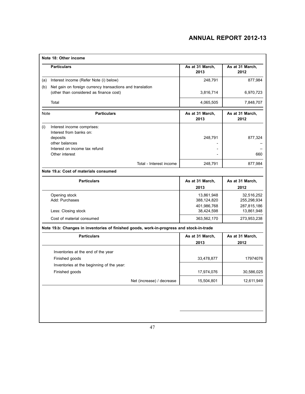|      | <b>Particulars</b>                                                                                   | As at 31 March,<br>2013   | As at 31 March,<br>2012                                             |
|------|------------------------------------------------------------------------------------------------------|---------------------------|---------------------------------------------------------------------|
| (a)  | Interest income (Refer Note (i) below)                                                               | 248,791                   | 877,984                                                             |
| (b)  | Net gain on foreign currency transactions and translation<br>(other than considered as finance cost) | 3,816,714                 | 6,970,723                                                           |
|      | Total                                                                                                | 4,065,505                 | 7,848,707                                                           |
| Note | <b>Particulars</b>                                                                                   | As at 31 March,<br>2013   | As at 31 March,<br>2012                                             |
| (i)  | Interest income comprises:<br>Interest from banks on:<br>deposits<br>other balances                  | 248,791                   | 877,324                                                             |
|      | Interest on income tax refund<br>Other interest                                                      |                           | 660                                                                 |
|      |                                                                                                      |                           |                                                                     |
|      | Total - Interest income<br>Note 19.a: Cost of materials consumed                                     | 248,791                   | 877,984                                                             |
|      | <b>Particulars</b>                                                                                   | As at 31 March,<br>2013   | As at 31 March,<br>2012                                             |
|      | Opening stock<br>Add: Purchases                                                                      | 13,861,948<br>388,124,820 | 32,516,252<br>255,298,934                                           |
|      |                                                                                                      | 401,986,768               |                                                                     |
|      | Less: Closing stock                                                                                  | 38,424,598                |                                                                     |
|      | Cost of material consumed                                                                            | 363,562,170               |                                                                     |
|      | Note 19.b: Changes in inventories of finished goods, work-in-progress and stock-in-trade             |                           |                                                                     |
|      | <b>Particulars</b>                                                                                   | As at 31 March,<br>2013   | 287,815,186<br>13,861,948<br>273,953,238<br>As at 31 March,<br>2012 |
|      | Inventories at the end of the year<br>Finished goods                                                 | 33,478,877                |                                                                     |
|      | Inventories at the beginning of the year:                                                            |                           |                                                                     |
|      | Finished goods                                                                                       | 17,974,076                | 17974076<br>30,586,025                                              |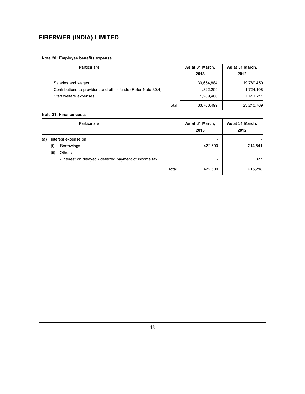| <b>Particulars</b>                                           |       | As at 31 March,         | As at 31 March,         |
|--------------------------------------------------------------|-------|-------------------------|-------------------------|
|                                                              |       | 2013                    | 2012                    |
| Salaries and wages                                           |       | 30,654,884              | 19,789,450              |
| Contributions to provident and other funds (Refer Note 30.4) |       | 1,822,209               | 1,724,108               |
| Staff welfare expenses                                       |       | 1,289,406               | 1,697,211               |
|                                                              | Total | 33,766,499              | 23,210,769              |
| Note 21: Finance costs                                       |       |                         |                         |
| <b>Particulars</b>                                           |       | As at 31 March,<br>2013 | As at 31 March,<br>2012 |
|                                                              |       |                         |                         |
| Interest expense on:                                         |       |                         | 214,841                 |
| <b>Borrowings</b><br>(i)                                     |       | 422,500                 |                         |
| <b>Others</b><br>(ii)                                        |       |                         |                         |
| - Interest on delayed / deferred payment of income tax       |       |                         | 377                     |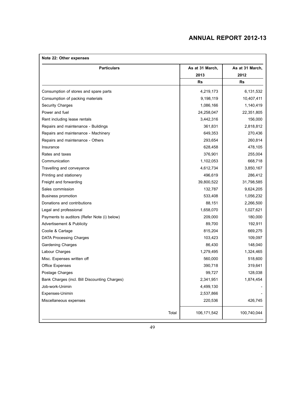| Note 22: Other expenses                       |                 |                 |  |  |
|-----------------------------------------------|-----------------|-----------------|--|--|
| <b>Particulars</b>                            | As at 31 March, | As at 31 March, |  |  |
|                                               | 2013            | 2012            |  |  |
|                                               | Rs              | Rs              |  |  |
| Consumption of stores and spare parts         | 4,219,173       | 6,131,532       |  |  |
| Consumption of packing materials              | 9,198,119       | 10,407,411      |  |  |
| Security Charges                              | 1,086,166       | 1,140,419       |  |  |
| Power and fuel                                | 24,258,047      | 22,351,805      |  |  |
| Rent including lease rentals                  | 3,442,316       | 156,000         |  |  |
| Repairs and maintenance - Buildings           | 361,831         | 2,818,812       |  |  |
| Repairs and maintenance - Machinery           | 649,353         | 270,436         |  |  |
| Repairs and maintenance - Others              | 293,654         | 260,814         |  |  |
| Insurance                                     | 628,458         | 478,105         |  |  |
| Rates and taxes                               | 376,901         | 255,004         |  |  |
| Communication                                 | 1,102,053       | 668,718         |  |  |
| Travelling and conveyance                     | 4,612,734       | 3,850,167       |  |  |
| Printing and stationery                       | 496,619         | 286,412         |  |  |
| Freight and forwarding                        | 39,800,522      | 31,798,585      |  |  |
| Sales commission                              | 132,787         | 9,624,205       |  |  |
| <b>Business promotion</b>                     | 533,408         | 1,056,232       |  |  |
| Donations and contributions                   | 88,151          | 2,266,500       |  |  |
| Legal and professional                        | 1,658,070       | 1,027,621       |  |  |
| Payments to auditors (Refer Note (i) below)   | 209,000         | 180,000         |  |  |
| Advertisement & Publicity                     | 89,700          | 192,911         |  |  |
| Coolie & Cartage                              | 815,204         | 669,275         |  |  |
| <b>DATA Processing Charges</b>                | 103,423         | 109,097         |  |  |
| <b>Gardening Charges</b>                      | 86,430          | 148,040         |  |  |
| Labour Charges                                | 1,279,495       | 1,324,465       |  |  |
| Misc. Expenses written off                    | 560,000         | 518,600         |  |  |
| <b>Office Expenses</b>                        | 390,718         | 319,641         |  |  |
| Postage Charges                               | 99,727          | 128,038         |  |  |
| Bank Charges (incl. Bill Discounting Charges) | 2,341,951       | 1,874,454       |  |  |
| Job-work-Unimin                               | 4,499,130       |                 |  |  |
| Expenses-Unimin                               | 2,537,866       |                 |  |  |
| Miscellaneous expenses                        | 220,536         | 426,745         |  |  |
| Total                                         | 106,171,542     | 100,740,044     |  |  |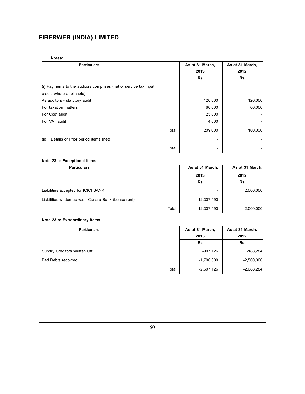| As at 31 March,<br>2013<br><b>Rs</b><br>120,000<br>60,000<br>25,000<br>4,000 | As at 31 March,<br>2012<br><b>Rs</b> |
|------------------------------------------------------------------------------|--------------------------------------|
|                                                                              | 120,000<br>60,000                    |
|                                                                              |                                      |
|                                                                              |                                      |
|                                                                              |                                      |
|                                                                              |                                      |
|                                                                              |                                      |
|                                                                              |                                      |
|                                                                              |                                      |
|                                                                              |                                      |
| Total<br>209,000                                                             | 180,000                              |
| $\overline{\phantom{a}}$                                                     |                                      |
|                                                                              |                                      |
|                                                                              |                                      |
| As at 31 March,                                                              | As at 31 March,                      |
| 2013                                                                         | 2012                                 |
| <b>Rs</b>                                                                    | Rs                                   |
|                                                                              | 2,000,000                            |
| 12,307,490                                                                   |                                      |
| 12,307,490                                                                   | 2,000,000                            |
|                                                                              |                                      |
| As at 31 March,                                                              | As at 31 March,                      |
| 2013                                                                         | 2012                                 |
| <b>Rs</b>                                                                    | <b>Rs</b>                            |
| $-907,126$                                                                   | $-188,284$                           |
| $-1,700,000$                                                                 | $-2,500,000$                         |
| $-2,607,126$                                                                 | $-2,688,284$                         |
|                                                                              | Total<br>Total<br>Total              |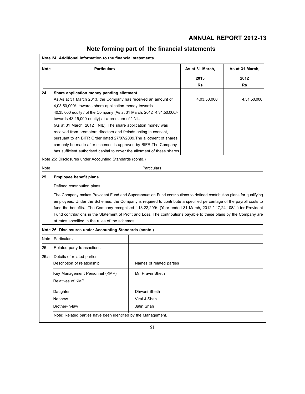|             | Note 24: Additional information to the financial statements                                                         |                                                                        |                 |                 |
|-------------|---------------------------------------------------------------------------------------------------------------------|------------------------------------------------------------------------|-----------------|-----------------|
| <b>Note</b> | <b>Particulars</b>                                                                                                  |                                                                        | As at 31 March, | As at 31 March, |
|             |                                                                                                                     |                                                                        | 2013            | 2012            |
|             |                                                                                                                     |                                                                        | <b>Rs</b>       | Rs              |
| 24          | Share application money pending allotment                                                                           |                                                                        |                 |                 |
|             | As As at 31 March 2013, the Company has received an amount of                                                       |                                                                        | 4,03,50,000     | 1,31,50,000     |
|             | 4,03,50,000/- towards share application money towards                                                               |                                                                        |                 |                 |
|             |                                                                                                                     | 40,35,000 equity / of the Company (As at 31 March, 2012 `4,31,50,000/- |                 |                 |
|             | towards 43,15,000 equity) at a premium of `NIL<br>(As at 31 March, 2012 ` NIL). The share application money was     |                                                                        |                 |                 |
|             |                                                                                                                     |                                                                        |                 |                 |
|             | received from promotors directors and freinds acting in consent,                                                    |                                                                        |                 |                 |
|             | pursuant to an BIFR Order dated 27/07/2009. The allotment of shares                                                 |                                                                        |                 |                 |
|             | can only be made after schemes is approved by BIFR. The Company                                                     |                                                                        |                 |                 |
|             | has sufficient authorised capital to cover the allotment of these shares.                                           |                                                                        |                 |                 |
|             | Note 25: Disclosures under Accounting Standards (contd.)                                                            |                                                                        |                 |                 |
| Note        |                                                                                                                     | Particulars                                                            |                 |                 |
| 25          | <b>Employee benefit plans</b>                                                                                       |                                                                        |                 |                 |
|             | Defined contribution plans                                                                                          |                                                                        |                 |                 |
|             | The Company makes Provident Fund and Superannuation Fund contributions to defined contribution plans for qualifying |                                                                        |                 |                 |
|             | employees. Under the Schemes, the Company is required to contribute a specified percentage of the payroll costs to  |                                                                        |                 |                 |
|             | fund the benefits. The Company recognised `18,22,209/- (Year ended 31 March, 2012 `17,24,108/-) for Provident       |                                                                        |                 |                 |
|             | Fund contributions in the Statement of Profit and Loss. The contributions payable to these plans by the Company are |                                                                        |                 |                 |
|             | at rates specified in the rules of the schemes.                                                                     |                                                                        |                 |                 |
|             | Note 26: Disclosures under Accounting Standards (contd.)                                                            |                                                                        |                 |                 |
|             | Note Particulars                                                                                                    |                                                                        |                 |                 |
| 26          | Related party transactions                                                                                          |                                                                        |                 |                 |
| 26.a        | Details of related parties:                                                                                         |                                                                        |                 |                 |
|             | Description of relationship                                                                                         | Names of related parties                                               |                 |                 |
|             | Key Management Personnel (KMP)                                                                                      | Mr. Pravin Sheth                                                       |                 |                 |
|             | Relatives of KMP                                                                                                    |                                                                        |                 |                 |
|             | Daughter                                                                                                            | Dhwani Sheth                                                           |                 |                 |
|             | Nephew                                                                                                              | Viral J Shah                                                           |                 |                 |
|             | Brother-in-law                                                                                                      | Jatin Shah                                                             |                 |                 |
|             | Note: Related parties have been identified by the Management.                                                       |                                                                        |                 |                 |

# **Note forming part of the financial statements**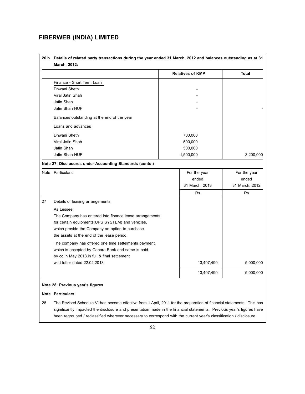|    |                                                          | <b>Relatives of KMP</b> | Total          |
|----|----------------------------------------------------------|-------------------------|----------------|
|    | Finance - Short Term Loan                                |                         |                |
|    | Dhwani Sheth                                             |                         |                |
|    | Viral Jatin Shah                                         |                         |                |
|    | Jatin Shah                                               |                         |                |
|    | Jatin Shah HUF                                           |                         |                |
|    | Balances outstanding at the end of the year              |                         |                |
|    | Loans and advances                                       |                         |                |
|    | Dhwani Sheth                                             | 700,000                 |                |
|    | Viral Jatin Shah                                         | 500,000                 |                |
|    | Jatin Shah                                               | 500,000                 |                |
|    | Jatin Shah HUF                                           | 1,500,000               | 3,200,000      |
|    | Note 27: Disclosures under Accounting Standards (contd.) |                         |                |
|    | Note Particulars                                         | For the year            | For the year   |
|    |                                                          | ended                   | ended          |
|    |                                                          | 31 March, 2013          | 31 March, 2012 |
|    |                                                          | Rs                      | Rs             |
| 27 | Details of leasing arrangements                          |                         |                |
|    | As Lessee                                                |                         |                |
|    | The Company has entered into finance lease arrangements  |                         |                |
|    | for certain equipments(UPS SYSTEM) and vehicles,         |                         |                |
|    | which provide the Company an option to purchase          |                         |                |
|    | the assets at the end of the lease period.               |                         |                |
|    | The company has offered one time settelments payment,    |                         |                |
|    | which is accepted by Canara Bank and same is paid        |                         |                |
|    | by co.in May 2013.in full & final settlement             |                         |                |
|    | w.r.t letter dated 22.04.2013.                           | 13,407,490              | 5,000,000      |
|    |                                                          | 13,407,490              | 5,000,000      |

28 The Revised Schedule VI has become effective from 1 April, 2011 for the preparation of financial statements. This has significantly impacted the disclosure and presentation made in the financial statements. Previous year's figures have been regrouped / reclassified wherever necessary to correspond with the current year's classification / disclosure.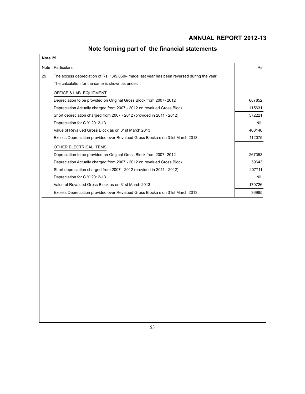| Note 29 |                                                                                             |        |
|---------|---------------------------------------------------------------------------------------------|--------|
| Note    | Particulars                                                                                 | Rs     |
| 29      | The excess depreciation of Rs. 1,49,060/- made last year has been reversed during the year. |        |
|         | The calculation for the same is shown as under:                                             |        |
|         | OFFICE & LAB. EQUIPMENT                                                                     |        |
|         | Depreciation to be provided on Original Gross Block from 2007-2012                          | 687852 |
|         | Depreciation Actually charged from 2007 - 2012 on revalued Gross Block                      | 115631 |
|         | Short depreciation charged from 2007 - 2012 (provided in 2011 - 2012)                       | 572221 |
|         | Depreciation for C.Y. 2012-13                                                               | NIL    |
|         | Value of Revalued Gross Block as on 31st March 2013                                         | 460146 |
|         | Excess Depreciation provided over Revalued Gross Blocka s on 31st March 2013                | 112075 |
|         | OTHER ELECTRICAL ITEMS                                                                      |        |
|         | Depreciation to be provided on Original Gross Block from 2007-2012                          | 267353 |
|         | Depreciation Actually charged from 2007 - 2012 on revalued Gross Block                      | 59643  |
|         | Short depreciation charged from 2007 - 2012 (provided in 2011 - 2012)                       | 207711 |
|         | Depreciation for C.Y. 2012-13                                                               | NIL    |
|         | Value of Revalued Gross Block as on 31st March 2013                                         | 170726 |
|         | Excess Depreciation provided over Revalued Gross Blocka s on 31st March 2013                | 36985  |
|         |                                                                                             |        |
|         |                                                                                             |        |

# **Note forming part of the financial statements**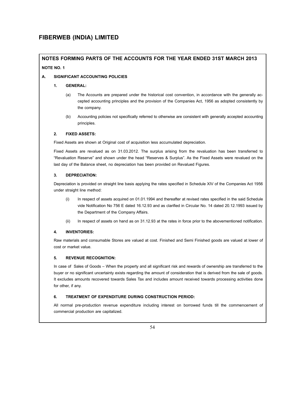# **NOTES FORMING PARTS OF THE ACCOUNTS FOR THE YEAR ENDED 31ST MARCH 2013 NOTE NO. 1**

#### **A. SIGNIFICANT ACCOUNTING POLICIES**

#### **1. GENERAL:**

- (a) The Accounts are prepared under the historical cost convention, in accordance with the generally accepted accounting principles and the provision of the Companies Act, 1956 as adopted consistently by the company.
- (b) Accounting policies not specifically referred to otherwise are consistent with generally accepted accounting principles.

#### **2. FIXED ASSETS:**

Fixed Assets are shown at Original cost of acquisition less accumulated depreciation.

Fixed Assets are revalued as on 31.03.2012. The surplus arising from the revaluation has been transferred to "Revaluation Reserve" and shown under the head "Reserves & Surplus". As the Fixed Assets were revalued on the last day of the Balance sheet, no depreciation has been provided on Revalued Figures.

#### **3. DEPRECIATION:**

Depreciation is provided on straight line basis applying the rates specified in Schedule XIV of the Companies Act 1956 under straight line method:

- (i) In respect of assets acquired on 01.01.1994 and thereafter at revised rates specified in the said Schedule vide Notification No 756 E dated 16.12.93 and as clarified in Circular No. 14 dated 20.12.1993 issued by the Department of the Company Affairs.
- (ii) In respect of assets on hand as on 31.12.93 at the rates in force prior to the abovementioned notification.

#### **4. INVENTORIES:**

Raw materials and consumable Stores are valued at cost. Finished and Semi Finished goods are valued at lower of cost or market value.

#### **5. REVENUE RECOGNITION:**

In case of Sales of Goods – When the property and all significant risk and rewards of ownership are transferred to the buyer or no significant uncertainty exists regarding the amount of consideration that is derived from the sale of goods. It excludes amounts recovered towards Sales Tax and includes amount received towards processing activities done for other, if any.

#### **6. TREATMENT OF EXPENDITURE DURING CONSTRUCTION PERIOD:**

All normal pre-production revenue expenditure including interest on borrowed funds till the commencement of commercial production are capitalized.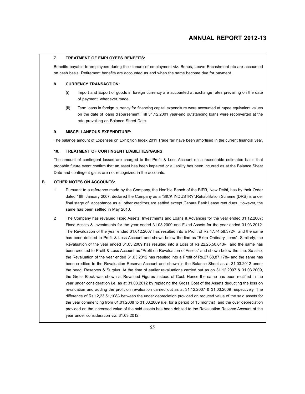#### **7. TREATMENT OF EMPLOYEES BENEFITS:**

Benefits payable to employees during their tenure of employment viz. Bonus, Leave Encashment etc are accounted on cash basis. Retirement benefits are accounted as and when the same become due for payment.

#### **8. CURRENCY TRANSACTION:**

- (i) Import and Export of goods in foreign currency are accounted at exchange rates prevailing on the date of payment, whenever made.
- (ii) Term loans in foreign currency for financing capital expenditure were accounted at rupee equivalent values on the date of loans disbursement. Till 31.12.2001 year-end outstanding loans were reconverted at the rate prevailing on Balance Sheet Date.

#### **9. MISCELLANEOUS EXPENDITURE:**

The balance amount of Expenses on Exhibition Index 2011 Trade fair have been amortised in the current financial year.

#### **10. TREATMENT OF CONTINGENT LIABILITIES/GAINS**

The amount of contingent losses are charged to the Profit & Loss Account on a reasonable estimated basis that probable future event confirm that an asset has been impaired or a liability has been incurred as at the Balance Sheet Date and contingent gains are not recognized in the accounts.

#### **B. OTHER NOTES ON ACCOUNTS:**

- 1 Pursuant to a reference made by the Company, the Hon'ble Bench of the BIFR, New Delhi, has by their Order dated 18th January 2007, declared the Company as a "SICK INDUSTRY".Rehabilitation Scheme (DRS) is under final stage of acceptance as all other creditors are settled except Canara Bank Lease rent dues. However, the same has been settled in May 2013.
- 2 The Company has revalued Fixed Assets, Investments and Loans & Advances for the year ended 31.12.2007; Fixed Assets & Investments for the year ended 31.03.2009 and Fixed Assets for the year ended 31.03.2012. The Revaluation of the year ended 31.012.2007 has resulted into a Profit of Rs.47,74,58,372/- and the same has been debited to Profit & Loss Account and shown below the line as "Extra Ordinary Items". Similarly, the Revaluation of the year ended 31.03.2009 has resulted into a Loss of Rs.22,25,50,613/- and the same has been credited to Profit & Loss Account as "Profit on Revaluation of Assets" and shown below the line. So also, the Revaluation of the year ended 31.03.2012 has resulted into a Profit of Rs.27,68,87,178/- and the same has been credited to the Revaluation Reserve Account and shown in the Balance Sheet as at 31.03.2012 under the head, Reserves & Surplus. At the time of earlier revaluations carried out as on 31.12.2007 & 31.03.2009, the Gross Block was shown at Revalued Figures instead of Cost. Hence the same has been rectified in the year under consideration i.e. as at 31.03.2012 by replacing the Gross Cost of the Assets deducting the loss on revaluation and adding the profit on revaluation carried out as at 31.12.2007 & 31.03.2009 respectively. The difference of Rs.12,23,51,108/- between the under depreciation provided on reduced value of the said assets for the year commencing from 01.01.2008 to 31.03.2009 (i.e. for a period of 15 months) and the over depreciation provided on the increased value of the said assets has been debited to the Revaluation Reserve Account of the year under consideration viz. 31.03.2012.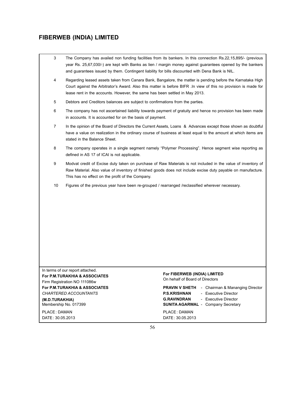- 3 The Company has availed non funding facilities from its bankers. In this connection Rs.22,15,895/- (previous year Rs. 25,67,030/-) are kept with Banks as lien / margin money against guarantees opened by the bankers and guarantees issued by them. Contingent liability for bills discounted with Dena Bank is NIL.
- 4 Regarding leased assets taken from Canara Bank, Bangalore, the matter is pending before the Karnataka High Court against the Arbitrator's Award. Also this matter is before BIFR .In view of this no provision is made for lease rent in the accounts. However, the same has been settled in May 2013.
- 5 Debtors and Creditors balances are subject to confirmations from the parties.
- 6 The company has not ascertained liability towards payment of gratuity and hence no provision has been made in accounts. It is accounted for on the basis of payment.
- 7 In the opinion of the Board of Directors the Current Assets, Loans & Advances except those shown as doubtful have a value on realization in the ordinary course of business at least equal to the amount at which items are stated in the Balance Sheet.
- 8 The company operates in a single segment namely "Polymer Processing". Hence segment wise reporting as defined in AS 17 of ICAI is not applicable.
- 9 Modvat credit of Excise duty taken on purchase of Raw Materials is not included in the value of inventory of Raw Material. Also value of inventory of finished goods does not include excise duty payable on manufacture. This has no effect on the profit of the Company.
- 10 Figures of the previous year have been re-grouped / rearranged /reclassified wherever necessary.

In terms of our report attached. **For P.M.TURAKHIA & ASSOCIATES**<br> **For P.M.TURAKHIA & ASSOCIATES**<br>
Fig. Dogistration NO. 111086w Firm Registration NO 111086w

PLACE: DAMAN PLACE: DAMAN DATE: 30.05.2013 DATE: 30.05.2013

**For P.M.TURAKHIA & ASSOCIATES PRAVIN V SHETH** - Chairman & Mananging Director *CHARTERED ACCOUNTANTS* **P.S.KRISHNAN** - Executive Director **(M.D.TURAKHIA) G.RAVINDRAN** - Executive Director Membership No. 017399 **SUNITA AGARWAL** - Company Secretary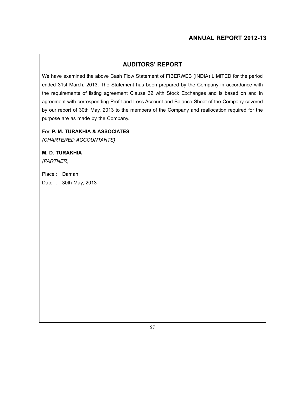# **AUDITORS' REPORT**

We have examined the above Cash Flow Statement of FIBERWEB (INDIA) LIMITED for the period ended 31st March, 2013. The Statement has been prepared by the Company in accordance with the requirements of listing agreement Clause 32 with Stock Exchanges and is based on and in agreement with corresponding Profit and Loss Account and Balance Sheet of the Company covered by our report of 30th May, 2013 to the members of the Company and reallocation required for the purpose are as made by the Company.

# For **P. M. TURAKHIA & ASSOCIATES**

*(Chartered Accountants)*

# **M. D. TURAKHIA**

*(PARTNER)*

Place : Daman Date : 30th May, 2013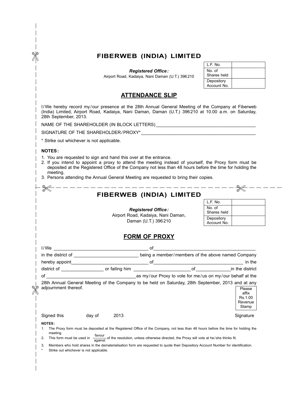|                                                                              | <b>FIBERWEB (INDIA) LIMITED</b>                                                                                                                                                                                                                                                                           |                           |                                                |
|------------------------------------------------------------------------------|-----------------------------------------------------------------------------------------------------------------------------------------------------------------------------------------------------------------------------------------------------------------------------------------------------------|---------------------------|------------------------------------------------|
|                                                                              |                                                                                                                                                                                                                                                                                                           | L.F. No.                  |                                                |
|                                                                              | <b>Registered Office:</b><br>Airport Road, Kadaiya, Nani Daman (U.T.) 396210                                                                                                                                                                                                                              | No. of<br>Shares held     |                                                |
|                                                                              |                                                                                                                                                                                                                                                                                                           | Depository<br>Account No. |                                                |
|                                                                              | <b>ATTENDANCE SLIP</b>                                                                                                                                                                                                                                                                                    |                           |                                                |
| 28th September, 2013.                                                        | I/We hereby record my/our presence at the 28th Annual General Meeting of the Company at Fiberweb<br>(India) Limited, Airport Road, Kadaiya, Nani Daman, Daman (U.T.) 396210 at 10.00 a.m. on Saturday,                                                                                                    |                           |                                                |
|                                                                              |                                                                                                                                                                                                                                                                                                           |                           |                                                |
|                                                                              | SIGNATURE OF THE SHAREHOLDER/PROXY*                                                                                                                                                                                                                                                                       |                           |                                                |
| * Strike out whichever is not applicable.                                    |                                                                                                                                                                                                                                                                                                           |                           |                                                |
| <b>NOTES:</b>                                                                |                                                                                                                                                                                                                                                                                                           |                           |                                                |
| 1. You are requested to sign and hand this over at the entrance.<br>meeting. | 2. If you intend to appoint a proxy to attend the meeting instead of yourself, the Proxy form must be<br>deposited at the Registered Office of the Company not less than 48 hours before the time for holding the<br>3. Persons attending the Annual General Meeting are requested to bring their copies. |                           |                                                |
|                                                                              |                                                                                                                                                                                                                                                                                                           |                           |                                                |
|                                                                              | FIBERWEB (INDIA) LIMITED                                                                                                                                                                                                                                                                                  |                           |                                                |
|                                                                              |                                                                                                                                                                                                                                                                                                           | L.F. No.                  |                                                |
|                                                                              |                                                                                                                                                                                                                                                                                                           |                           |                                                |
|                                                                              | <b>Registered Office:</b>                                                                                                                                                                                                                                                                                 | No. of<br>Shares held     |                                                |
|                                                                              | Airport Road, Kadaiya, Nani Daman,<br>Daman (U.T.) 396 210                                                                                                                                                                                                                                                | Depository<br>Account No. |                                                |
|                                                                              |                                                                                                                                                                                                                                                                                                           |                           |                                                |
|                                                                              | <b>FORM OF PROXY</b>                                                                                                                                                                                                                                                                                      |                           |                                                |
|                                                                              | of                                                                                                                                                                                                                                                                                                        |                           |                                                |
|                                                                              | in the district of _________________________________being a member/members of the above named Company                                                                                                                                                                                                     |                           | in the                                         |
|                                                                              |                                                                                                                                                                                                                                                                                                           |                           |                                                |
|                                                                              |                                                                                                                                                                                                                                                                                                           |                           |                                                |
| adjournment thereof.                                                         | 28th Annual General Meeting of the Company to be held on Saturday, 28th September, 2013 and at any                                                                                                                                                                                                        |                           | Please<br>affix<br>Rs.1.00<br>Revenue<br>Stamp |
| Signed this<br>day of                                                        | 2013                                                                                                                                                                                                                                                                                                      |                           | Signature                                      |
| <b>NOTES:</b><br>1.                                                          | The Proxy form must be deposited at the Registered Office of the Company, not less than 48 hours before the time for holding the                                                                                                                                                                          |                           |                                                |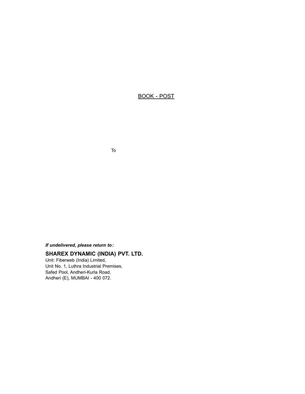# BOOK - POST

To

*If undelivered, please return to:*

# **SHAREX DYNAMIC (INDIA) PVT. LTD.**

Unit: Fiberweb (India) Limited, Unit No. 1, Luthra Industrial Premises, Safed Pool, Andheri-Kurla Road, Andheri (E), MUMBAI - 400 072.